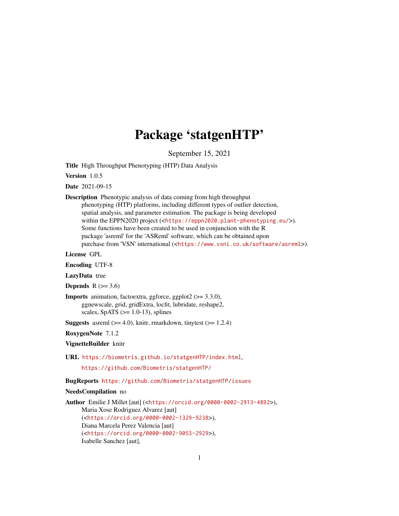# Package 'statgenHTP'

September 15, 2021

<span id="page-0-0"></span>Title High Throughput Phenotyping (HTP) Data Analysis

Version 1.0.5

Date 2021-09-15

Description Phenotypic analysis of data coming from high throughput phenotyping (HTP) platforms, including different types of outlier detection, spatial analysis, and parameter estimation. The package is being developed within the EPPN2020 project (<<https://eppn2020.plant-phenotyping.eu/>>). Some functions have been created to be used in conjunction with the R package 'asreml' for the 'ASReml' software, which can be obtained upon purchase from 'VSN' international (<<https://www.vsni.co.uk/software/asreml>>).

License GPL

Encoding UTF-8

LazyData true

Depends  $R$  ( $>= 3.6$ )

**Imports** animation, factoextra, ggforce, ggplot $2$  ( $>= 3.3.0$ ), ggnewscale, grid, gridExtra, locfit, lubridate, reshape2, scales, SpATS  $(>= 1.0-13)$ , splines

**Suggests** asreml  $(>= 4.0)$ , knitr, rmarkdown, tinytest  $(>= 1.2.4)$ 

RoxygenNote 7.1.2

VignetteBuilder knitr

URL <https://biometris.github.io/statgenHTP/index.html>,

<https://github.com/Biometris/statgenHTP/>

## BugReports <https://github.com/Biometris/statgenHTP/issues>

#### NeedsCompilation no

Author Emilie J Millet [aut] (<<https://orcid.org/0000-0002-2913-4892>>), Maria Xose Rodriguez Alvarez [aut] (<<https://orcid.org/0000-0002-1329-9238>>), Diana Marcela Perez Valencia [aut] (<<https://orcid.org/0000-0002-9053-2929>>), Isabelle Sanchez [aut],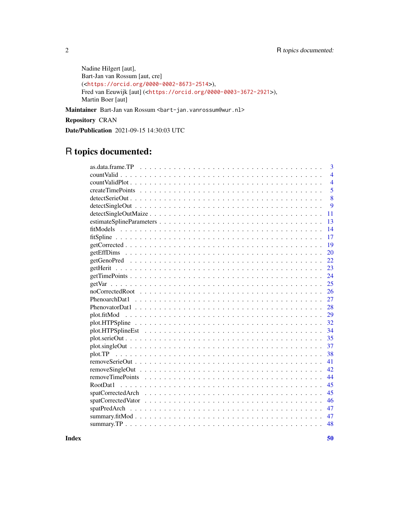```
Nadine Hilgert [aut],
Bart-Jan van Rossum [aut, cre]
(<https://orcid.org/0000-0002-8673-2514>),
Fred van Eeuwijk [aut] (<https://orcid.org/0000-0003-3672-2921>),
Martin Boer [aut]
```
Maintainer Bart-Jan van Rossum <br/> <br/>bart-jan.vanrossum@wur.nl>

Repository CRAN

Date/Publication 2021-09-15 14:30:03 UTC

## R topics documented:

| 3                                                                                                                                |
|----------------------------------------------------------------------------------------------------------------------------------|
| $\overline{4}$                                                                                                                   |
|                                                                                                                                  |
| $\overline{4}$                                                                                                                   |
| 5                                                                                                                                |
| 8                                                                                                                                |
| $\mathbf Q$<br>$detectSingleOut \dots \dots \dots \dots \dots \dots \dots \dots \dots \dots \dots \dots \dots \dots \dots \dots$ |
| 11                                                                                                                               |
| 13                                                                                                                               |
| 14                                                                                                                               |
| 17                                                                                                                               |
| 19                                                                                                                               |
| 20                                                                                                                               |
| 22                                                                                                                               |
| 23                                                                                                                               |
| 24                                                                                                                               |
| 25                                                                                                                               |
| 26                                                                                                                               |
| 27                                                                                                                               |
| 28                                                                                                                               |
| 29                                                                                                                               |
| 32                                                                                                                               |
| 34                                                                                                                               |
| 35                                                                                                                               |
| 37                                                                                                                               |
| 38                                                                                                                               |
| 41                                                                                                                               |
| 42                                                                                                                               |
| 44                                                                                                                               |
|                                                                                                                                  |
| RootDat1<br>45                                                                                                                   |
| 45                                                                                                                               |
| 46                                                                                                                               |
| 47                                                                                                                               |
| 47                                                                                                                               |
| 48                                                                                                                               |

 $\blacksquare$  Index  $\blacksquare$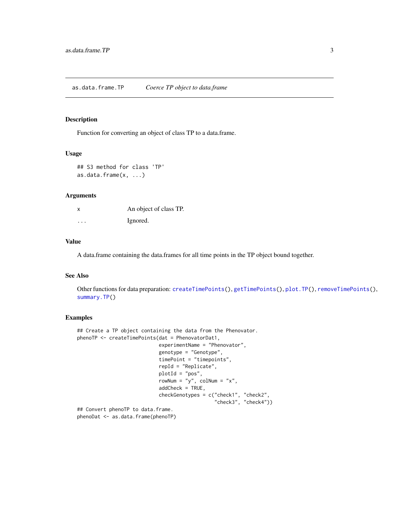## <span id="page-2-1"></span><span id="page-2-0"></span>Description

Function for converting an object of class TP to a data.frame.

## Usage

```
## S3 method for class 'TP'
as.data.frame(x, ...)
```
#### Arguments

| x       | An object of class TP. |
|---------|------------------------|
| $\cdot$ | Ignored.               |

## Value

A data.frame containing the data.frames for all time points in the TP object bound together.

## See Also

Other functions for data preparation: [createTimePoints\(](#page-4-1)), [getTimePoints\(](#page-23-1)), [plot.TP\(](#page-37-1)), [removeTimePoints\(](#page-43-1)), [summary.TP\(](#page-47-1))

#### Examples

```
## Create a TP object containing the data from the Phenovator.
phenoTP <- createTimePoints(dat = PhenovatorDat1,
                            experimentName = "Phenovator",
                            genotype = "Genotype",
                            timePoint = "timepoints",
                            repId = "Replicate",
                            plotId = "pos",
                            rowNum = "y", colNum = "x",
                            addCheck = TRUE,
                            checkGenotypes = c("check1", "check2",
                                               "check3", "check4"))
## Convert phenoTP to data.frame.
phenoDat <- as.data.frame(phenoTP)
```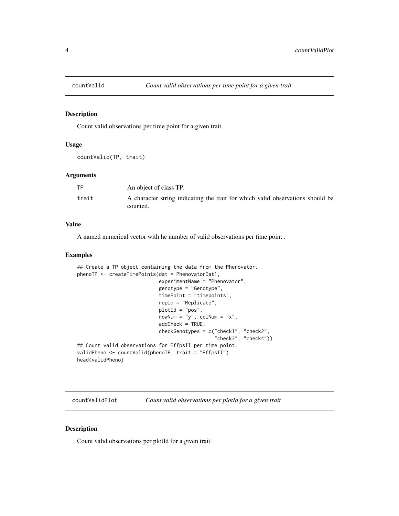<span id="page-3-0"></span>

#### Description

Count valid observations per time point for a given trait.

#### Usage

countValid(TP, trait)

#### Arguments

| TP    | An object of class TP.                                                                     |
|-------|--------------------------------------------------------------------------------------------|
| trait | A character string indicating the trait for which valid observations should be<br>counted. |

### Value

A named numerical vector with he number of valid observations per time point .

#### Examples

```
## Create a TP object containing the data from the Phenovator.
phenoTP <- createTimePoints(dat = PhenovatorDat1,
                            experimentName = "Phenovator",
                            genotype = "Genotype",
                            timePoint = "timepoints",
                            repId = "Replicate",
                            plotId = "pos",
                            rowNum = "y", colNum = "x",
                            addCheck = TRUE,
                            checkGenotypes = c("check1", "check2",
                                                "check3", "check4"))
## Count valid observations for EffpsII per time point.
validPheno <- countValid(phenoTP, trait = "EffpsII")
head(validPheno)
```
countValidPlot *Count valid observations per plotId for a given trait*

## Description

Count valid observations per plotId for a given trait.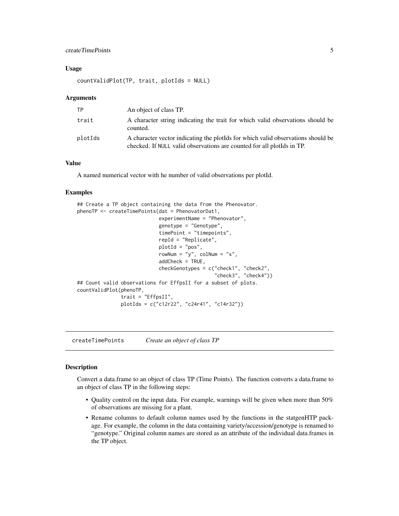## <span id="page-4-0"></span>createTimePoints 5

#### Usage

countValidPlot(TP, trait, plotIds = NULL)

#### Arguments

| TP      | An object of class TP.                                                                                                                                          |
|---------|-----------------------------------------------------------------------------------------------------------------------------------------------------------------|
| trait   | A character string indicating the trait for which valid observations should be<br>counted.                                                                      |
| plotIds | A character vector indicating the plot of solution which valid observations should be<br>checked. If NULL valid observations are counted for all ploteds in TP. |

## Value

A named numerical vector with he number of valid observations per plotId.

#### Examples

```
## Create a TP object containing the data from the Phenovator.
phenoTP <- createTimePoints(dat = PhenovatorDat1,
                            experimentName = "Phenovator",
                            genotype = "Genotype",
                            timePoint = "timepoints",
                            repId = "Replicate",
                            plotId = "pos",
                            rowNum = "y", colNum = "x",
                            addCheck = TRUE,
                            checkGenotypes = c("check1", "check2",
                                                "check3", "check4"))
## Count valid observations for EffpsII for a subset of plots.
countValidPlot(phenoTP,
               trait = "EffpsII",
               plotIds = c("c12r22", "c24r41", "c14r32"))
```
<span id="page-4-1"></span>createTimePoints *Create an object of class TP*

#### Description

Convert a data.frame to an object of class TP (Time Points). The function converts a data.frame to an object of class TP in the following steps:

- Quality control on the input data. For example, warnings will be given when more than 50% of observations are missing for a plant.
- Rename columns to default column names used by the functions in the statgenHTP package. For example, the column in the data containing variety/accession/genotype is renamed to "genotype." Original column names are stored as an attribute of the individual data.frames in the TP object.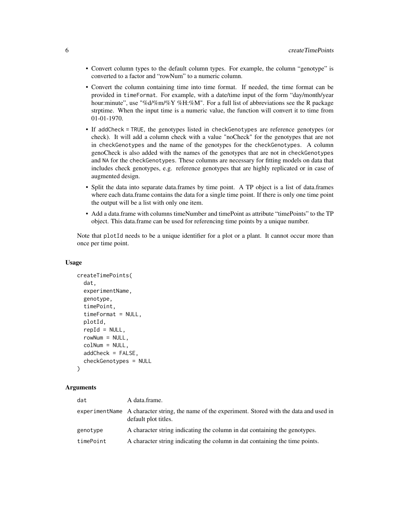- Convert column types to the default column types. For example, the column "genotype" is converted to a factor and "rowNum" to a numeric column.
- Convert the column containing time into time format. If needed, the time format can be provided in timeFormat. For example, with a date/time input of the form "day/month/year hour:minute", use "%d/%m/%Y %H:%M". For a full list of abbreviations see the R package strptime. When the input time is a numeric value, the function will convert it to time from 01-01-1970.
- If addCheck = TRUE, the genotypes listed in checkGenotypes are reference genotypes (or check). It will add a column check with a value "noCheck" for the genotypes that are not in checkGenotypes and the name of the genotypes for the checkGenotypes. A column genoCheck is also added with the names of the genotypes that are not in checkGenotypes and NA for the checkGenotypes. These columns are necessary for fitting models on data that includes check genotypes, e.g. reference genotypes that are highly replicated or in case of augmented design.
- Split the data into separate data.frames by time point. A TP object is a list of data.frames where each data.frame contains the data for a single time point. If there is only one time point the output will be a list with only one item.
- Add a data.frame with columns timeNumber and timePoint as attribute "timePoints" to the TP object. This data.frame can be used for referencing time points by a unique number.

Note that plotId needs to be a unique identifier for a plot or a plant. It cannot occur more than once per time point.

#### Usage

```
createTimePoints(
  dat,
  experimentName,
  genotype,
  timePoint,
  timeFormat = NULL,
  plotId,
  repId = NULL,rowNum = NULL,
  colNum = NULL,addCheck = FALSE,
  checkGenotypes = NULL
)
```
#### Arguments

| dat       | A data frame.                                                                                                            |
|-----------|--------------------------------------------------------------------------------------------------------------------------|
|           | experiment Name A character string, the name of the experiment. Stored with the data and used in<br>default plot titles. |
| genotype  | A character string indicating the column in dat containing the genotypes.                                                |
| timePoint | A character string indicating the column in dat containing the time points.                                              |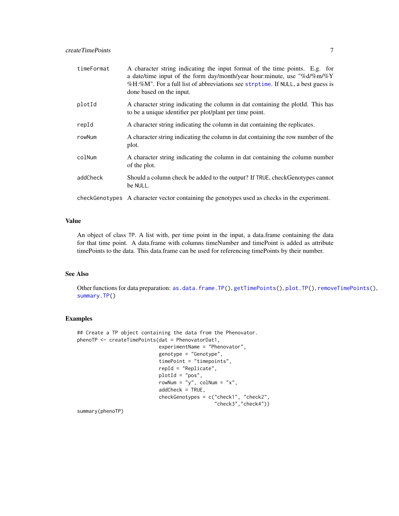<span id="page-6-0"></span>

| timeFormat | A character string indicating the input format of the time points. E.g. for<br>a date/time input of the form day/month/year hour:minute, use "%d/%m/%Y"<br>%H:%M". For a full list of abbreviations see strptime. If NULL, a best guess is<br>done based on the input. |
|------------|------------------------------------------------------------------------------------------------------------------------------------------------------------------------------------------------------------------------------------------------------------------------|
| plotId     | A character string indicating the column in dat containing the plotted. This has<br>to be a unique identifier per plot/plant per time point.                                                                                                                           |
| repId      | A character string indicating the column in dat containing the replicates.                                                                                                                                                                                             |
| rowNum     | A character string indicating the column in dat containing the row number of the<br>plot.                                                                                                                                                                              |
| colNum     | A character string indicating the column in dat containing the column number<br>of the plot.                                                                                                                                                                           |
| addCheck   | Should a column check be added to the output? If TRUE, checkGenotypes cannot<br>be NULL.                                                                                                                                                                               |
|            | checkGenotypes A character vector containing the genotypes used as checks in the experiment.                                                                                                                                                                           |

## Value

An object of class TP. A list with, per time point in the input, a data.frame containing the data for that time point. A data.frame with columns timeNumber and timePoint is added as attribute timePoints to the data. This data.frame can be used for referencing timePoints by their number.

## See Also

Other functions for data preparation: [as.data.frame.TP\(](#page-2-1)), [getTimePoints\(](#page-23-1)), [plot.TP\(](#page-37-1)), [removeTimePoints\(](#page-43-1)), [summary.TP\(](#page-47-1))

## Examples

```
## Create a TP object containing the data from the Phenovator.
phenoTP <- createTimePoints(dat = PhenovatorDat1,
                            experimentName = "Phenovator",
                            genotype = "Genotype",
                            timePoint = "timepoints",
                            repId = "Replicate",
                            plotId = "pos",
                            rowNum = "y", colNum = "x",
                            addCheck = TRUE,
                            checkGenotypes = c("check1", "check2",
                                               "check3","check4"))
```
summary(phenoTP)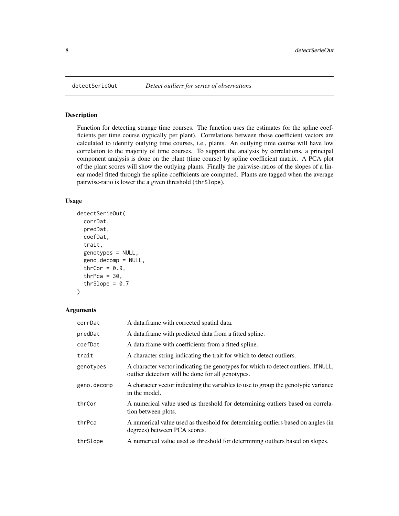## Description

Function for detecting strange time courses. The function uses the estimates for the spline coefficients per time course (typically per plant). Correlations between those coefficient vectors are calculated to identify outlying time courses, i.e., plants. An outlying time course will have low correlation to the majority of time courses. To support the analysis by correlations, a principal component analysis is done on the plant (time course) by spline coefficient matrix. A PCA plot of the plant scores will show the outlying plants. Finally the pairwise-ratios of the slopes of a linear model fitted through the spline coefficients are computed. Plants are tagged when the average pairwise-ratio is lower the a given threshold (thrSlope).

## Usage

```
detectSerieOut(
  corrDat,
 predDat,
 coefDat,
  trait,
  genotypes = NULL,
  geno.decomp = NULL,
  thrCor = 0.9,
  thrPca = 30,
  thrSlope = 0.7)
```
## Arguments

| corrDat     | A data frame with corrected spatial data.                                                                                               |
|-------------|-----------------------------------------------------------------------------------------------------------------------------------------|
| predDat     | A data frame with predicted data from a fitted spline.                                                                                  |
| coefDat     | A data frame with coefficients from a fitted spline.                                                                                    |
| trait       | A character string indicating the trait for which to detect outliers.                                                                   |
| genotypes   | A character vector indicating the genotypes for which to detect outliers. If NULL,<br>outlier detection will be done for all genotypes. |
| geno.decomp | A character vector indicating the variables to use to group the genotypic variance<br>in the model.                                     |
| thrCor      | A numerical value used as threshold for determining outliers based on correla-<br>tion between plots.                                   |
| thrPca      | A numerical value used as threshold for determining outliers based on angles (in<br>degrees) between PCA scores.                        |
| thrSlope    | A numerical value used as threshold for determining outliers based on slopes.                                                           |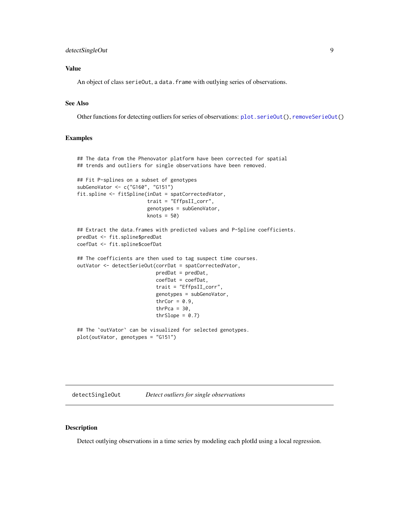## <span id="page-8-0"></span>detectSingleOut 9

## Value

An object of class serieOut, a data. frame with outlying series of observations.

## See Also

Other functions for detecting outliers for series of observations: [plot.serieOut\(](#page-34-1)), [removeSerieOut\(](#page-40-1))

#### Examples

```
## The data from the Phenovator platform have been corrected for spatial
## trends and outliers for single observations have been removed.
## Fit P-splines on a subset of genotypes
subGenoVator <- c("G160", "G151")
fit.spline <- fitSpline(inDat = spatCorrectedVator,
                        trait = "EffpsII_corr",
                        genotypes = subGenoVator,
                        knots = 50)
## Extract the data.frames with predicted values and P-Spline coefficients.
predDat <- fit.spline$predDat
coefDat <- fit.spline$coefDat
## The coefficients are then used to tag suspect time courses.
outVator <- detectSerieOut(corrDat = spatCorrectedVator,
                           predDat = predDat,
                           coefDat = coefDat,
                           trait = "EffpsII_corr",
                           genotypes = subGenoVator,
                           thrCor = 0.9,
                           thrPca = 30,
                           thrSlope = 0.7)
## The `outVator` can be visualized for selected genotypes.
plot(outVator, genotypes = "G151")
```
<span id="page-8-1"></span>detectSingleOut *Detect outliers for single observations*

## Description

Detect outlying observations in a time series by modeling each plotId using a local regression.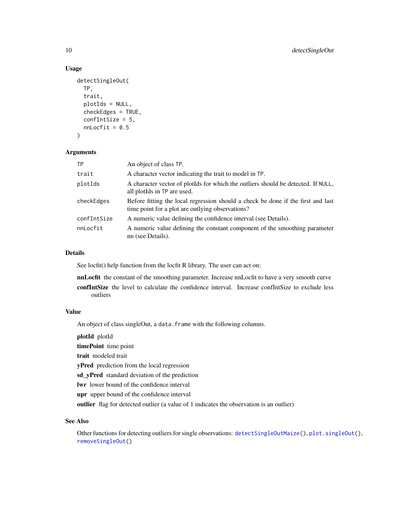## Usage

```
detectSingleOut(
 TP,
  trait,
 plotIds = NULL,
  checkEdges = TRUE,
  confIntSize = 5,
 nnLocfit = 0.5)
```
## Arguments

| <b>TP</b>   | An object of class TP.                                                                                                               |
|-------------|--------------------------------------------------------------------------------------------------------------------------------------|
| trait       | A character vector indicating the trait to model in TP.                                                                              |
| plotIds     | A character vector of plotIds for which the outliers should be detected. If NULL,<br>all plotIds in TP are used.                     |
| checkEdges  | Before fitting the local regression should a check be done if the first and last<br>time point for a plot are outlying observations? |
| confIntSize | A numeric value defining the confidence interval (see Details).                                                                      |
| nnLocfit    | A numeric value defining the constant component of the smoothing parameter<br>nn (see Details).                                      |

#### Details

See locfit() help function from the locfit R library. The user can act on:

nnLocfit the constant of the smoothing parameter. Increase nnLocfit to have a very smooth curve confIntSize the level to calculate the confidence interval. Increase confIntSize to exclude less outliers

## Value

An object of class singleOut, a data. frame with the following columns.

plotId plotId timePoint time point trait modeled trait yPred prediction from the local regression sd\_yPred standard deviation of the prediction lwr lower bound of the confidence interval upr upper bound of the confidence interval outlier flag for detected outlier (a value of 1 indicates the observation is an outlier)

## See Also

Other functions for detecting outliers for single observations: [detectSingleOutMaize\(](#page-10-1)), [plot.singleOut\(](#page-36-1)), [removeSingleOut\(](#page-41-1))

<span id="page-9-0"></span>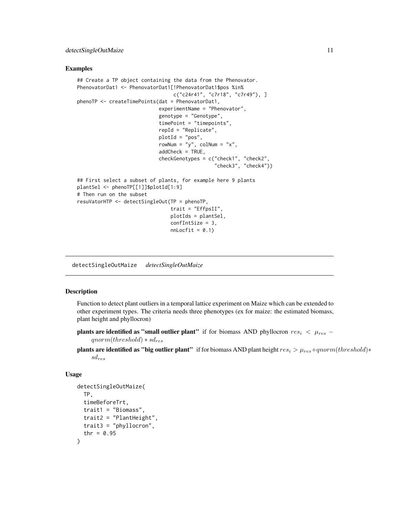#### <span id="page-10-0"></span>Examples

```
## Create a TP object containing the data from the Phenovator.
PhenovatorDat1 <- PhenovatorDat1[!PhenovatorDat1$pos %in%
                                 c("c24r41", "c7r18", "c7r49"), ]
phenoTP <- createTimePoints(dat = PhenovatorDat1,
                            experimentName = "Phenovator",
                            genotype = "Genotype",
                            timePoint = "timepoints",
                            repId = "Replicate",
                            plotId = "pos",
                            rowNum = "y", \text{colNum} = "x",
                            addCheck = TRUE,
                             checkGenotypes = c("check1", "check2",
                                                "check3", "check4"))
## First select a subset of plants, for example here 9 plants
plantSel <- phenoTP[[1]]$plotId[1:9]
# Then run on the subset
resuVatorHTP <- detectSingleOut(TP = phenoTP,
                                trait = "EffpsII",
                                plotIds = plantSel,
                                 confIntSize = 3,
                                 nnLocfit = 0.1)
```
<span id="page-10-1"></span>detectSingleOutMaize *detectSingleOutMaize*

#### Description

Function to detect plant outliers in a temporal lattice experiment on Maize which can be extended to other experiment types. The criteria needs three phenotypes (ex for maize: the estimated biomass, plant height and phyllocron)

- **plants are identified as "small outlier plant"** if for biomass AND phyllocron  $res_i < \mu_{res}$  $qnorm(threshold)*sd_{res}$
- **plants are identified as "big outlier plant"** if for biomass AND plant height  $res_i > \mu_{res} + qnorm(threshold)*$  $sd_{res}$

#### Usage

```
detectSingleOutMaize(
  TP,
  timeBeforeTrt,
  trait1 = "Biomass",
  trait2 = "PlantHeight",
  trait3 = "phyllocron",
  thr = 0.95)
```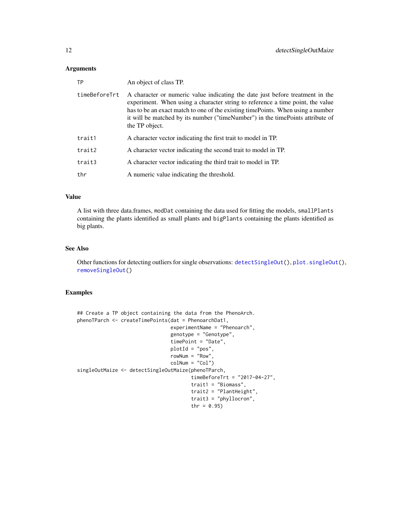#### <span id="page-11-0"></span>Arguments

| ТP            | An object of class TP.                                                                                                                                                                                                                                                                                                                                  |
|---------------|---------------------------------------------------------------------------------------------------------------------------------------------------------------------------------------------------------------------------------------------------------------------------------------------------------------------------------------------------------|
| timeBeforeTrt | A character or numeric value indicating the date just before treatment in the<br>experiment. When using a character string to reference a time point, the value<br>has to be an exact match to one of the existing time Points. When using a number<br>it will be matched by its number ("timeNumber") in the timePoints attribute of<br>the TP object. |
| trait1        | A character vector indicating the first trait to model in TP.                                                                                                                                                                                                                                                                                           |
| trait2        | A character vector indicating the second trait to model in TP.                                                                                                                                                                                                                                                                                          |
| trait3        | A character vector indicating the third trait to model in TP.                                                                                                                                                                                                                                                                                           |
| thr           | A numeric value indicating the threshold.                                                                                                                                                                                                                                                                                                               |

## Value

A list with three data.frames, modDat containing the data used for fitting the models, smallPlants containing the plants identified as small plants and bigPlants containing the plants identified as big plants.

## See Also

Other functions for detecting outliers for single observations: [detectSingleOut\(](#page-8-1)), [plot.singleOut\(](#page-36-1)), [removeSingleOut\(](#page-41-1))

## Examples

```
## Create a TP object containing the data from the PhenoArch.
phenoTParch <- createTimePoints(dat = PhenoarchDat1,
                                experimentName = "Phenoarch",
                                genotype = "Genotype",
                                timePoint = "Date",
                                plotId = "pos",
                                rowNum = "Row",
                                colNum = "Col")
singleOutMaize <- detectSingleOutMaize(phenoTParch,
                                       timeBeforeTrt = "2017-04-27",
                                       trait1 = "Biomass",
                                       trait2 = "PlantHeight",
                                       trait3 = "phyllocron",
                                       thr = 0.95)
```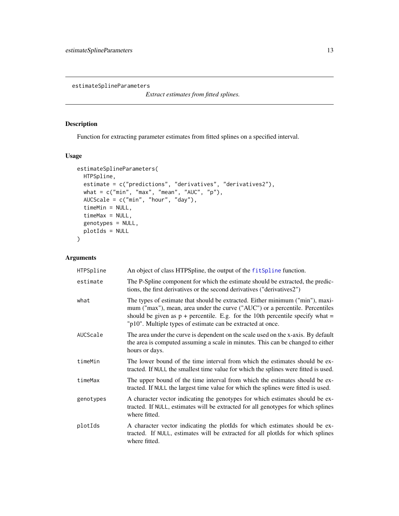<span id="page-12-1"></span><span id="page-12-0"></span>estimateSplineParameters

*Extract estimates from fitted splines.*

## Description

Function for extracting parameter estimates from fitted splines on a specified interval.

## Usage

```
estimateSplineParameters(
 HTPSpline,
 estimate = c("predictions", "derivatives", "derivatives2"),
 what = c("min", "max", "mean", "AUC", "p"),
 AUCScale = c("min", "hour", "day"),
 timeMin = NULL,
 timeMax = NULL,
  genotypes = NULL,
 plotIds = NULL
)
```
## Arguments

| HTPSpline | An object of class HTPSpline, the output of the fitSpline function.                                                                                                                                                                                                                                              |
|-----------|------------------------------------------------------------------------------------------------------------------------------------------------------------------------------------------------------------------------------------------------------------------------------------------------------------------|
| estimate  | The P-Spline component for which the estimate should be extracted, the predic-<br>tions, the first derivatives or the second derivatives ("derivatives2")                                                                                                                                                        |
| what      | The types of estimate that should be extracted. Either minimum ("min"), maxi-<br>mum ("max"), mean, area under the curve ("AUC") or a percentile. Percentiles<br>should be given as $p +$ percentile. E.g. for the 10th percentile specify what =<br>"p10". Multiple types of estimate can be extracted at once. |
| AUCScale  | The area under the curve is dependent on the scale used on the x-axis. By default<br>the area is computed assuming a scale in minutes. This can be changed to either<br>hours or days.                                                                                                                           |
| timeMin   | The lower bound of the time interval from which the estimates should be ex-<br>tracted. If NULL the smallest time value for which the splines were fitted is used.                                                                                                                                               |
| timeMax   | The upper bound of the time interval from which the estimates should be ex-<br>tracted. If NULL the largest time value for which the splines were fitted is used.                                                                                                                                                |
| genotypes | A character vector indicating the genotypes for which estimates should be ex-<br>tracted. If NULL, estimates will be extracted for all genotypes for which splines<br>where fitted.                                                                                                                              |
| plotIds   | A character vector indicating the plotIds for which estimates should be ex-<br>tracted. If NULL, estimates will be extracted for all plotIds for which splines<br>where fitted.                                                                                                                                  |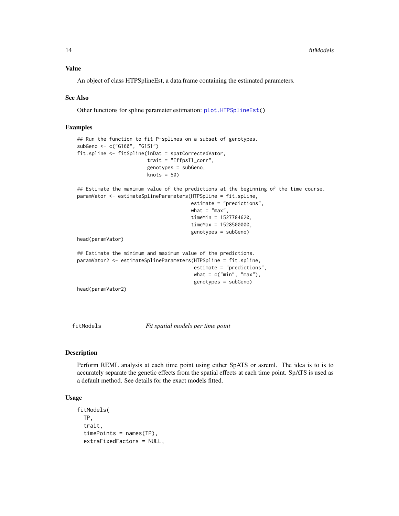<span id="page-13-0"></span>Value

An object of class HTPSplineEst, a data.frame containing the estimated parameters.

#### See Also

Other functions for spline parameter estimation: [plot.HTPSplineEst\(](#page-33-1))

## Examples

```
## Run the function to fit P-splines on a subset of genotypes.
subGeno <- c("G160", "G151")
fit.spline <- fitSpline(inDat = spatCorrectedVator,
                        trait = "EffpsII_corr",
                        genotypes = subGeno,
                        knots = 50)
## Estimate the maximum value of the predictions at the beginning of the time course.
paramVator <- estimateSplineParameters(HTPSpline = fit.spline,
                                       estimate = "predictions",
                                       what = "max",
                                       timeMin = 1527784620,
                                       timeMax = 1528500000,genotypes = subGeno)
head(paramVator)
## Estimate the minimum and maximum value of the predictions.
paramVator2 <- estimateSplineParameters(HTPSpline = fit.spline,
                                        estimate = "predictions",
                                        what = c("min", "max"),
                                        genotypes = subGeno)
head(paramVator2)
```
<span id="page-13-1"></span>fitModels *Fit spatial models per time point*

#### Description

Perform REML analysis at each time point using either SpATS or asreml. The idea is to is to accurately separate the genetic effects from the spatial effects at each time point. SpATS is used as a default method. See details for the exact models fitted.

## Usage

```
fitModels(
  TP,
  trait,
  timePoints = names(TP),
  extraFixedFactors = NULL,
```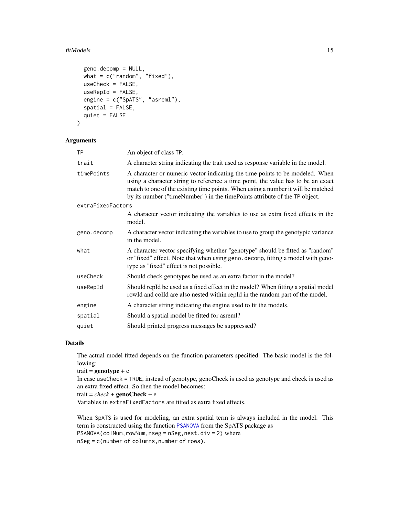#### <span id="page-14-0"></span>fitModels 15

```
geno.decomp = NULL,
 what = c("random", "fixed"),
 useCheck = FALSE,
 useRepId = FALSE,engine = c("SpATS", "asreml"),
  spatial = FALSE,
  quiet = FALSE
)
```
#### Arguments

| <b>TP</b>         | An object of class TP.                                                                                                                                                                                                                                                                                                             |
|-------------------|------------------------------------------------------------------------------------------------------------------------------------------------------------------------------------------------------------------------------------------------------------------------------------------------------------------------------------|
| trait             | A character string indicating the trait used as response variable in the model.                                                                                                                                                                                                                                                    |
| timePoints        | A character or numeric vector indicating the time points to be modeled. When<br>using a character string to reference a time point, the value has to be an exact<br>match to one of the existing time points. When using a number it will be matched<br>by its number ("timeNumber") in the timePoints attribute of the TP object. |
| extraFixedFactors |                                                                                                                                                                                                                                                                                                                                    |
|                   | A character vector indicating the variables to use as extra fixed effects in the<br>model.                                                                                                                                                                                                                                         |
| geno.decomp       | A character vector indicating the variables to use to group the genotypic variance<br>in the model.                                                                                                                                                                                                                                |
| what              | A character vector specifying whether "genotype" should be fitted as "random"<br>or "fixed" effect. Note that when using geno. decomp, fitting a model with geno-<br>type as "fixed" effect is not possible.                                                                                                                       |
| useCheck          | Should check genotypes be used as an extra factor in the model?                                                                                                                                                                                                                                                                    |
| useRepId          | Should repId be used as a fixed effect in the model? When fitting a spatial model<br>rowld and colld are also nested within repId in the random part of the model.                                                                                                                                                                 |
| engine            | A character string indicating the engine used to fit the models.                                                                                                                                                                                                                                                                   |
| spatial           | Should a spatial model be fitted for asreml?                                                                                                                                                                                                                                                                                       |
| quiet             | Should printed progress messages be suppressed?                                                                                                                                                                                                                                                                                    |

#### Details

The actual model fitted depends on the function parameters specified. The basic model is the following:

trait =  $genotype + e$ 

In case useCheck = TRUE, instead of genotype, genoCheck is used as genotype and check is used as an extra fixed effect. So then the model becomes:

trait =  $check +$ **genoCheck** + e

Variables in extraFixedFactors are fitted as extra fixed effects.

When SpATS is used for modeling, an extra spatial term is always included in the model. This term is constructed using the function [PSANOVA](#page-0-0) from the SpATS package as PSANOVA(colNum,rowNum,nseg = nSeg,nest.div = 2) where nSeg = c(number of columns,number of rows).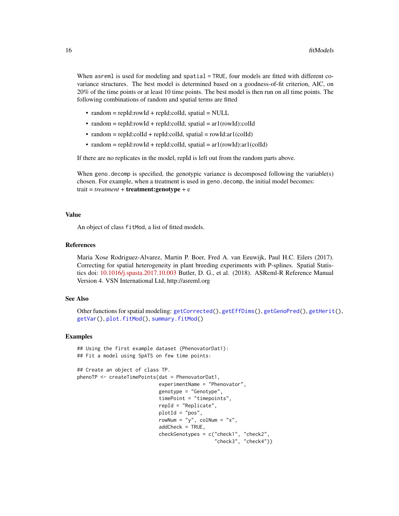<span id="page-15-0"></span>When asreml is used for modeling and spatial = TRUE, four models are fitted with different covariance structures. The best model is determined based on a goodness-of-fit criterion, AIC, on 20% of the time points or at least 10 time points. The best model is then run on all time points. The following combinations of random and spatial terms are fitted

- random = repId:rowId + repId:colId, spatial = NULL
- random = repId:rowId + repId:colId, spatial =  $ar1$ (rowId):colId
- random = repId:colId + repId:colId, spatial = rowId:ar1(colId)
- random = repId:rowId + repId:colId, spatial =  $ar1(rowId):ar1(colld)$

If there are no replicates in the model, repId is left out from the random parts above.

When geno. decomp is specified, the genotypic variance is decomposed following the variable(s) chosen. For example, when a treatment is used in geno.decomp, the initial model becomes: trait = *treatment* + treatment:genotype + e

#### Value

An object of class fitMod, a list of fitted models.

#### References

Maria Xose Rodriguez-Alvarez, Martin P. Boer, Fred A. van Eeuwijk, Paul H.C. Eilers (2017). Correcting for spatial heterogeneity in plant breeding experiments with P-splines. Spatial Statistics doi: [10.1016/j.spasta.2017.10.003](https://doi.org/10.1016/j.spasta.2017.10.003) Butler, D. G., et al. (2018). ASReml-R Reference Manual Version 4. VSN International Ltd, http://asreml.org

## See Also

Other functions for spatial modeling: [getCorrected\(](#page-18-1)), [getEffDims\(](#page-19-1)), [getGenoPred\(](#page-21-1)), [getHerit\(](#page-22-1)), [getVar\(](#page-24-1)), [plot.fitMod\(](#page-28-1)), [summary.fitMod\(](#page-46-1))

### Examples

```
## Using the first example dataset (PhenovatorDat1):
## Fit a model using SpATS on few time points:
## Create an object of class TP.
phenoTP <- createTimePoints(dat = PhenovatorDat1,
                            experimentName = "Phenovator",
                            genotype = "Genotype",
                            timePoint = "timepoints",
                            repId = "Replicate",
                            plotId = "pos",
                            rowNum = "y", colNum = "x",
                            addCheck = TRUE,
                            checkGenotypes = c("check1", "check2",
                                                "check3", "check4"))
```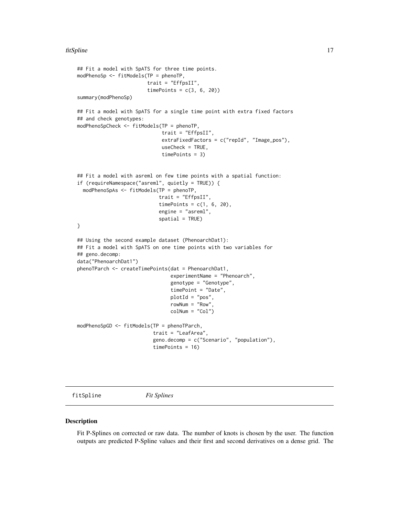```
## Fit a model with SpATS for three time points.
modPhenoSp <- fitModels(TP = phenoTP,
                        trait = "EffpsII",
                        timePoints = c(3, 6, 20)summary(modPhenoSp)
## Fit a model with SpATS for a single time point with extra fixed factors
## and check genotypes:
modPhenoSpCheck <- fitModels(TP = phenoTP,
                             trait = "EffpsII",
                             extraFixedFactors = c("repId", "Image_pos"),
                             useCheck = TRUE,
                             timePoints = 3)
## Fit a model with asreml on few time points with a spatial function:
if (requireNamespace("asreml", quietly = TRUE)) {
  modPhenoSpAs <- fitModels(TP = phenoTP,
                            trait = "EffpsII",
                            timePoints = c(1, 6, 20),
                            engine = "asreml",
                            spatial = TRUE)}
## Using the second example dataset (PhenoarchDat1):
## Fit a model with SpATS on one time points with two variables for
## geno.decomp:
data("PhenoarchDat1")
phenoTParch <- createTimePoints(dat = PhenoarchDat1,
                                experimentName = "Phenoarch",
                                genotype = "Genotype",
                                timePoint = "Date",
                                plotId = "pos",
                                rowNum = "Row",
                                colNum = "Col")modPhenoSpGD <- fitModels(TP = phenoTParch,
                          trait = "LeafArea",
                          geno.decomp = c("Scenario", "population"),
                          timePoints = 16)
```
<span id="page-16-1"></span>fitSpline *Fit Splines*

#### Description

Fit P-Splines on corrected or raw data. The number of knots is chosen by the user. The function outputs are predicted P-Spline values and their first and second derivatives on a dense grid. The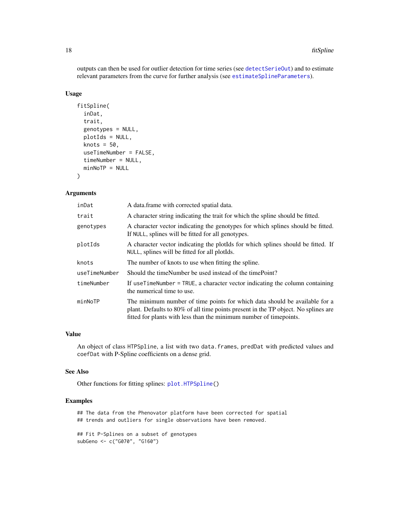outputs can then be used for outlier detection for time series (see [detectSerieOut](#page-7-1)) and to estimate relevant parameters from the curve for further analysis (see [estimateSplineParameters](#page-12-1)).

#### Usage

```
fitSpline(
  inDat,
  trait,
 genotypes = NULL,
 plotIds = NULL,
  knots = 50,
  useTimeNumber = FALSE,
  timeNumber = NULL,
 minNoTP = NULL
)
```
## Arguments

| inDat         | A data frame with corrected spatial data.                                                                                                                                                                                              |
|---------------|----------------------------------------------------------------------------------------------------------------------------------------------------------------------------------------------------------------------------------------|
| trait         | A character string indicating the trait for which the spline should be fitted.                                                                                                                                                         |
| genotypes     | A character vector indicating the genotypes for which splines should be fitted.<br>If NULL, splines will be fitted for all genotypes.                                                                                                  |
| plotIds       | A character vector indicating the plotIds for which splines should be fitted. If<br>NULL, splines will be fitted for all plot Ids.                                                                                                     |
| knots         | The number of knots to use when fitting the spline.                                                                                                                                                                                    |
| useTimeNumber | Should the timeNumber be used instead of the timePoint?                                                                                                                                                                                |
| timeNumber    | If use TimeNumber = TRUE, a character vector indicating the column containing<br>the numerical time to use.                                                                                                                            |
| minNoTP       | The minimum number of time points for which data should be available for a<br>plant. Defaults to 80% of all time points present in the TP object. No splines are<br>fitted for plants with less than the minimum number of timepoints. |

## Value

An object of class HTPSpline, a list with two data.frames, predDat with predicted values and coefDat with P-Spline coefficients on a dense grid.

#### See Also

Other functions for fitting splines: [plot.HTPSpline\(](#page-31-1))

## Examples

## The data from the Phenovator platform have been corrected for spatial ## trends and outliers for single observations have been removed.

```
## Fit P-Splines on a subset of genotypes
subGeno <- c("G070", "G160")
```
<span id="page-17-0"></span>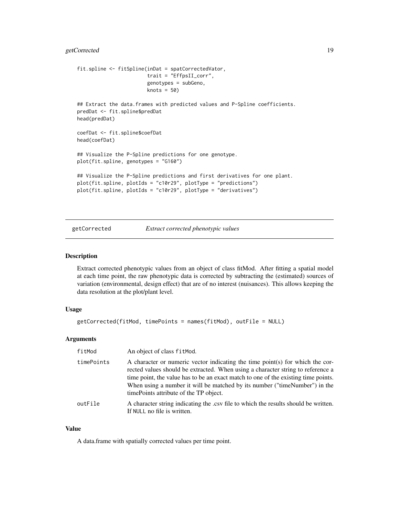## <span id="page-18-0"></span>getCorrected 19

```
fit.spline <- fitSpline(inDat = spatCorrectedVator,
                        trait = "EffpsII_corr",
                        genotypes = subGeno,
                        knots = 50)
## Extract the data.frames with predicted values and P-Spline coefficients.
predDat <- fit.spline$predDat
head(predDat)
coefDat <- fit.spline$coefDat
head(coefDat)
## Visualize the P-Spline predictions for one genotype.
plot(fit.spline, genotypes = "G160")
## Visualize the P-Spline predictions and first derivatives for one plant.
plot(fit.spline, plotIds = "c10r29", plotType = "predictions")
plot(fit.spline, plotIds = "c10r29", plotType = "derivatives")
```
getCorrected *Extract corrected phenotypic values*

#### Description

Extract corrected phenotypic values from an object of class fitMod. After fitting a spatial model at each time point, the raw phenotypic data is corrected by subtracting the (estimated) sources of variation (environmental, design effect) that are of no interest (nuisances). This allows keeping the data resolution at the plot/plant level.

#### Usage

```
getCorrected(fitMod, timePoints = names(fitMod), outFile = NULL)
```
## Arguments

| fitMod     | An object of class fit Mod.                                                                                                                                                                                                                                                                                                                                                     |
|------------|---------------------------------------------------------------------------------------------------------------------------------------------------------------------------------------------------------------------------------------------------------------------------------------------------------------------------------------------------------------------------------|
| timePoints | A character or numeric vector indicating the time point(s) for which the cor-<br>rected values should be extracted. When using a character string to reference a<br>time point, the value has to be an exact match to one of the existing time points.<br>When using a number it will be matched by its number ("timeNumber") in the<br>time Points attribute of the TP object. |
| outFile    | A character string indicating the .csv file to which the results should be written.<br>If NULL no file is written.                                                                                                                                                                                                                                                              |

#### Value

A data.frame with spatially corrected values per time point.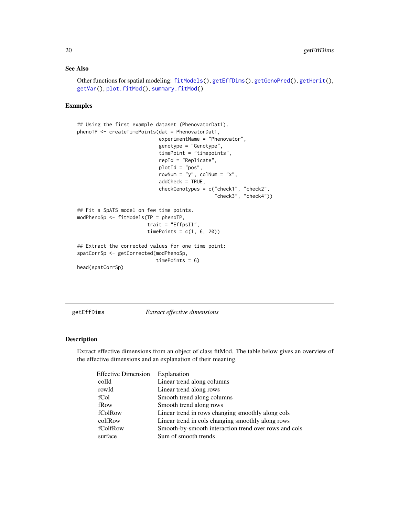## See Also

```
fitModels(getEffDims(getGenoPred(getHerit(),
getVar(), plot.fitMod(), summary.fitMod()
```
## Examples

```
## Using the first example dataset (PhenovatorDat1).
phenoTP <- createTimePoints(dat = PhenovatorDat1,
                            experimentName = "Phenovator",
                            genotype = "Genotype",
                            timePoint = "timepoints",
                            repId = "Replicate",
                            plotId = "pos",
                            rowNum = "y", colNum = "x",
                            addCheck = TRUE,
                            checkGenotypes = c("check1", "check2",
                                               "check3", "check4"))
## Fit a SpATS model on few time points.
modPhenoSp <- fitModels(TP = phenoTP,
                        trait = "EffpsII",
                        timePoints = c(1, 6, 20)## Extract the corrected values for one time point:
spatCorrSp <- getCorrected(modPhenoSp,
                           timePoints = 6)
head(spatCorrSp)
```
<span id="page-19-1"></span>getEffDims *Extract effective dimensions*

#### Description

Extract effective dimensions from an object of class fitMod. The table below gives an overview of the effective dimensions and an explanation of their meaning.

| <b>Effective Dimension</b> | Explanation                                           |
|----------------------------|-------------------------------------------------------|
| colld                      | Linear trend along columns                            |
| rowId                      | Linear trend along rows                               |
| fCol                       | Smooth trend along columns                            |
| fRow                       | Smooth trend along rows                               |
| fColRow                    | Linear trend in rows changing smoothly along cols     |
| colfRow                    | Linear trend in cols changing smoothly along rows     |
| fColfRow                   | Smooth-by-smooth interaction trend over rows and cols |
| surface                    | Sum of smooth trends                                  |
|                            |                                                       |

<span id="page-19-0"></span>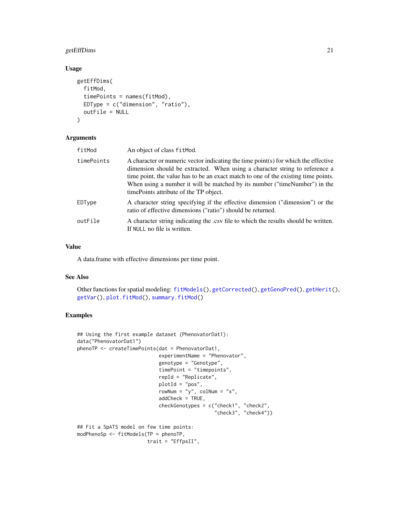## <span id="page-20-0"></span>getEffDims 21

## Usage

```
getEffDims(
 fitMod,
  timePoints = names(fitMod),
 EDType = c("dimension", "ratio"),
  outFile = NULL
)
```
#### Arguments

| An object of class fitMod.                                                                                                                                                                                                                                                                                                                                                       |
|----------------------------------------------------------------------------------------------------------------------------------------------------------------------------------------------------------------------------------------------------------------------------------------------------------------------------------------------------------------------------------|
| A character or numeric vector indicating the time point(s) for which the effective<br>dimension should be extracted. When using a character string to reference a<br>time point, the value has to be an exact match to one of the existing time points.<br>When using a number it will be matched by its number ("timeNumber") in the<br>time Points attribute of the TP object. |
| A character string specifying if the effective dimension ("dimension") or the<br>ratio of effective dimensions ("ratio") should be returned.                                                                                                                                                                                                                                     |
| A character string indicating the .csv file to which the results should be written.<br>If NULL no file is written.                                                                                                                                                                                                                                                               |
|                                                                                                                                                                                                                                                                                                                                                                                  |

## Value

A data.frame with effective dimensions per time point.

#### See Also

```
Other functions for spatial modeling: fitModels(), getCorrected(), getGenoPred(), getHerit(),
getVar(), plot.fitMod(), summary.fitMod()
```
## Examples

```
## Using the first example dataset (PhenovatorDat1):
data("PhenovatorDat1")
phenoTP <- createTimePoints(dat = PhenovatorDat1,
                            experimentName = "Phenovator",
                            genotype = "Genotype",
                            timePoint = "timepoints",
                            repId = "Replicate",
                            plotId = "pos",
                            rowNum = "y", colNum = "x",
                            addCheck = TRUE,
                            checkGenotypes = c("check1", "check2",
                                               "check3", "check4"))
## Fit a SpATS model on few time points:
modPhenoSp <- fitModels(TP = phenoTP,
                        trait = "EffpsII",
```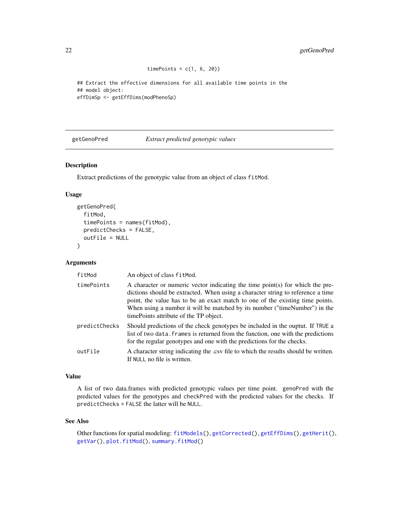```
timePoints = c(1, 6, 20)
```
<span id="page-21-0"></span>## Extract the effective dimensions for all available time points in the ## model object: effDimSp <- getEffDims(modPhenoSp)

<span id="page-21-1"></span>getGenoPred *Extract predicted genotypic values*

## Description

Extract predictions of the genotypic value from an object of class fitMod.

#### Usage

```
getGenoPred(
  fitMod,
  timePoints = names(fitMod),
  predictChecks = FALSE,
 outFile = NULL
\lambda
```
#### Arguments

| fitMod        | An object of class fitMod.                                                                                                                                                                                                                                                                                                                                                 |
|---------------|----------------------------------------------------------------------------------------------------------------------------------------------------------------------------------------------------------------------------------------------------------------------------------------------------------------------------------------------------------------------------|
| timePoints    | A character or numeric vector indicating the time point(s) for which the pre-<br>dictions should be extracted. When using a character string to reference a time<br>point, the value has to be an exact match to one of the existing time points.<br>When using a number it will be matched by its number ("timeNumber") in the<br>time Points attribute of the TP object. |
| predictChecks | Should predictions of the check genotypes be included in the ouptut. If TRUE a<br>list of two data. Frames is returned from the function, one with the predictions<br>for the regular genotypes and one with the predictions for the checks.                                                                                                                               |
| outFile       | A character string indicating the .csv file to which the results should be written.<br>If NULL no file is written.                                                                                                                                                                                                                                                         |

## Value

A list of two data.frames with predicted genotypic values per time point. genoPred with the predicted values for the genotypes and checkPred with the predicted values for the checks. If predictChecks = FALSE the latter will be NULL.

#### See Also

Other functions for spatial modeling: [fitModels\(](#page-13-1)), [getCorrected\(](#page-18-1)), [getEffDims\(](#page-19-1)), [getHerit\(](#page-22-1)), [getVar\(](#page-24-1)), [plot.fitMod\(](#page-28-1)), [summary.fitMod\(](#page-46-1))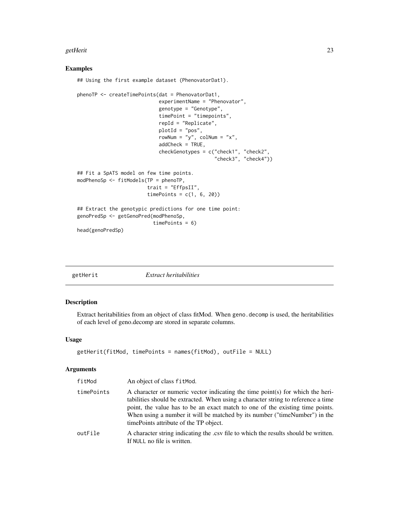#### <span id="page-22-0"></span>getHerit 23

#### Examples

```
## Using the first example dataset (PhenovatorDat1).
phenoTP <- createTimePoints(dat = PhenovatorDat1,
                            experimentName = "Phenovator",
                            genotype = "Genotype",
                            timePoint = "timepoints",
                            repId = "Replicate",
                            plotId = "pos",
                            rowNum = "y", colNum = "x",
                            addCheck = TRUE,
                            checkGenotypes = c("check1", "check2",
                                               "check3", "check4"))
## Fit a SpATS model on few time points.
modPhenoSp <- fitModels(TP = phenoTP,
                        trait = "EffpsII",
                        timePoints = c(1, 6, 20)## Extract the genotypic predictions for one time point:
genoPredSp <- getGenoPred(modPhenoSp,
                          timePoints = 6)
head(genoPredSp)
```
<span id="page-22-1"></span>

#### Description

Extract heritabilities from an object of class fitMod. When geno.decomp is used, the heritabilities of each level of geno.decomp are stored in separate columns.

## Usage

```
getHerit(fitMod, timePoints = names(fitMod), outFile = NULL)
```
#### Arguments

| fitMod     | An object of class fit Mod.                                                                                                                                                                                                                                                                                                                                                   |
|------------|-------------------------------------------------------------------------------------------------------------------------------------------------------------------------------------------------------------------------------------------------------------------------------------------------------------------------------------------------------------------------------|
| timePoints | A character or numeric vector indicating the time point(s) for which the heri-<br>tabilities should be extracted. When using a character string to reference a time<br>point, the value has to be an exact match to one of the existing time points.<br>When using a number it will be matched by its number ("timeNumber") in the<br>time Points attribute of the TP object. |
| outFile    | A character string indicating the .csv file to which the results should be written.<br>If NULL no file is written.                                                                                                                                                                                                                                                            |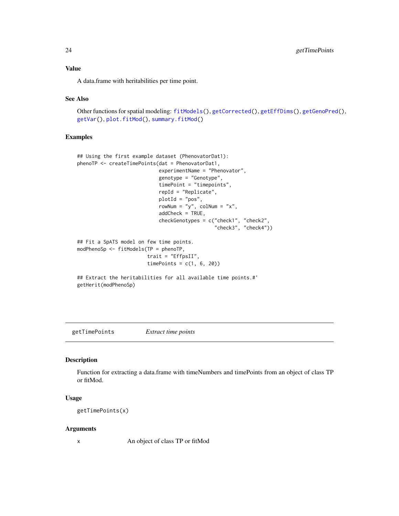<span id="page-23-0"></span>A data.frame with heritabilities per time point.

#### See Also

```
Other functions for spatial modeling: fitModels(), getCorrected(), getEffDims(), getGenoPred(),
getVar(), plot.fitMod(), summary.fitMod()
```
#### Examples

```
## Using the first example dataset (PhenovatorDat1):
phenoTP <- createTimePoints(dat = PhenovatorDat1,
                            experimentName = "Phenovator",
                            genotype = "Genotype",
                            timePoint = "timepoints",
                            repId = "Replicate",
                            plotId = "pos",
                            rowNum = "y", colNum = "x",
                            addCheck = TRUE,
                            checkGenotypes = c("check1", "check2",
                                               "check3", "check4"))
## Fit a SpATS model on few time points.
modPhenoSp <- fitModels(TP = phenoTP,
                        trait = "EffpsII",
                        timePoints = c(1, 6, 20)## Extract the heritabilities for all available time points.#'
```
getHerit(modPhenoSp)

<span id="page-23-1"></span>getTimePoints *Extract time points*

#### Description

Function for extracting a data.frame with timeNumbers and timePoints from an object of class TP or fitMod.

## Usage

getTimePoints(x)

#### Arguments

x An object of class TP or fitMod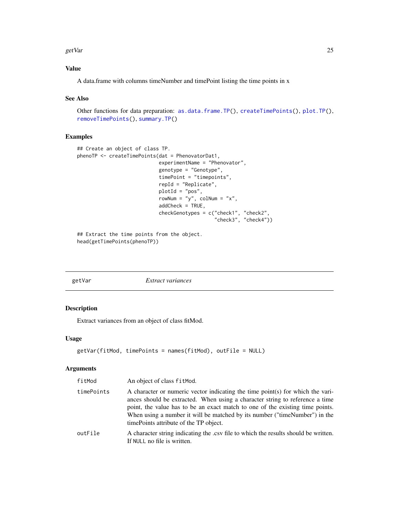#### <span id="page-24-0"></span>getVar 25

## Value

A data.frame with columns timeNumber and timePoint listing the time points in x

## See Also

```
as.data.frame.TP(createTimePoints(plot.TP(),
removeTimePoints(), summary.TP()
```
## Examples

```
## Create an object of class TP.
phenoTP <- createTimePoints(dat = PhenovatorDat1,
                            experimentName = "Phenovator",
                            genotype = "Genotype",
                            timePoint = "timepoints",
                            repId = "Replicate",
                            plotId = "pos",
                            rowNum = "y", colNum = "x",
                            addCheck = TRUE,
                            checkGenotypes = c("check1", "check2",
                                                "check3", "check4"))
```
## Extract the time points from the object. head(getTimePoints(phenoTP))

<span id="page-24-1"></span>getVar *Extract variances*

## Description

Extract variances from an object of class fitMod.

#### Usage

```
getVar(fitMod, timePoints = names(fitMod), outFile = NULL)
```
## Arguments

| fitMod     | An object of class fit Mod.                                                                                                                                                                                                                                                                                                                                              |
|------------|--------------------------------------------------------------------------------------------------------------------------------------------------------------------------------------------------------------------------------------------------------------------------------------------------------------------------------------------------------------------------|
| timePoints | A character or numeric vector indicating the time point(s) for which the vari-<br>ances should be extracted. When using a character string to reference a time<br>point, the value has to be an exact match to one of the existing time points.<br>When using a number it will be matched by its number ("timeNumber") in the<br>time Points attribute of the TP object. |
| outFile    | A character string indicating the .csv file to which the results should be written.<br>If NULL no file is written.                                                                                                                                                                                                                                                       |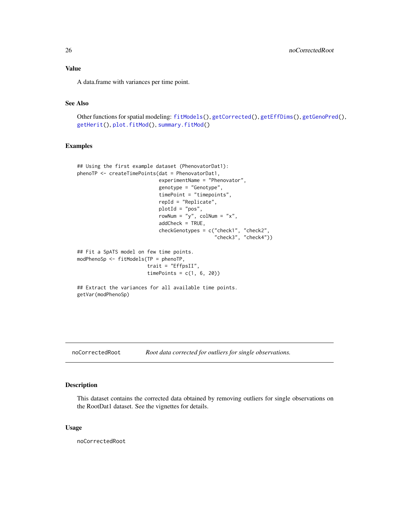<span id="page-25-0"></span>Value

A data.frame with variances per time point.

## See Also

Other functions for spatial modeling: [fitModels\(](#page-13-1)), [getCorrected\(](#page-18-1)), [getEffDims\(](#page-19-1)), [getGenoPred\(](#page-21-1)), [getHerit\(](#page-22-1)), [plot.fitMod\(](#page-28-1)), [summary.fitMod\(](#page-46-1))

#### Examples

```
## Using the first example dataset (PhenovatorDat1):
phenoTP <- createTimePoints(dat = PhenovatorDat1,
                            experimentName = "Phenovator",
                            genotype = "Genotype",
                            timePoint = "timepoints",
                            repId = "Replicate",
                            plotId = "pos",rowNum = "y", colNum = "x",
                            addCheck = TRUE,
                            checkGenotypes = c("check1", "check2",
                                               "check3", "check4"))
## Fit a SpATS model on few time points.
modPhenoSp <- fitModels(TP = phenoTP,
                        trait = "EffpsII",
                        timePoints = c(1, 6, 20)## Extract the variances for all available time points.
getVar(modPhenoSp)
```
noCorrectedRoot *Root data corrected for outliers for single observations.*

#### Description

This dataset contains the corrected data obtained by removing outliers for single observations on the RootDat1 dataset. See the vignettes for details.

#### Usage

noCorrectedRoot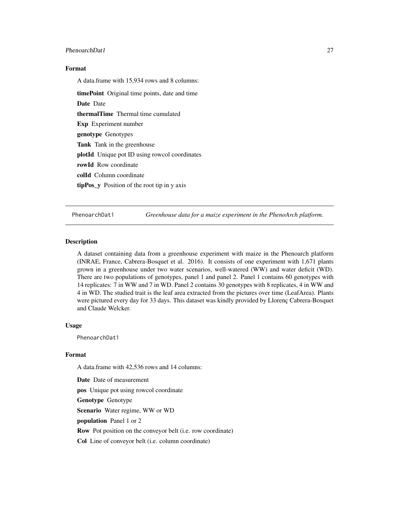## <span id="page-26-0"></span>PhenoarchDat1 27

## Format

A data.frame with 15,934 rows and 8 columns:

timePoint Original time points, date and time Date Date thermalTime Thermal time cumulated Exp Experiment number genotype Genotypes Tank Tank in the greenhouse plotId Unique pot ID using rowcol coordinates rowId Row coordinate colId Column coordinate tipPos\_y Position of the root tip in y axis

PhenoarchDat1 *Greenhouse data for a maize experiment in the PhenoArch platform.*

#### Description

A dataset containing data from a greenhouse experiment with maize in the Phenoarch platform (INRAE, France, Cabrera-Bosquet et al. 2016). It consists of one experiment with 1,671 plants grown in a greenhouse under two water scenarios, well-watered (WW) and water deficit (WD). There are two populations of genotypes, panel 1 and panel 2. Panel 1 contains 60 genotypes with 14 replicates: 7 in WW and 7 in WD. Panel 2 contains 30 genotypes with 8 replicates, 4 in WW and 4 in WD. The studied trait is the leaf area extracted from the pictures over time (LeafArea). Plants were pictured every day for 33 days. This dataset was kindly provided by Llorenç Cabrera-Bosquet and Claude Welcker.

#### Usage

PhenoarchDat1

#### Format

A data.frame with 42,536 rows and 14 columns:

Date Date of measurement

pos Unique pot using rowcol coordinate

Genotype Genotype

Scenario Water regime, WW or WD

population Panel 1 or 2

Row Pot position on the conveyor belt (i.e. row coordinate)

Col Line of conveyor belt (i.e. column coordinate)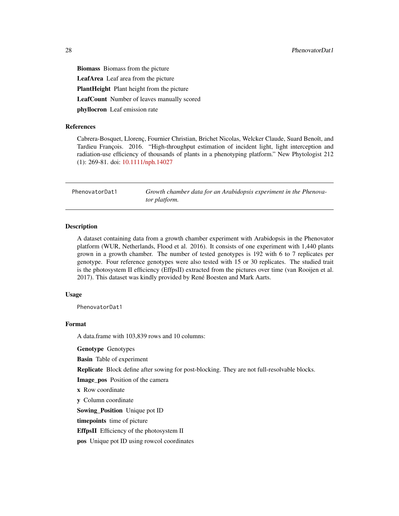<span id="page-27-0"></span>Biomass Biomass from the picture LeafArea Leaf area from the picture PlantHeight Plant height from the picture LeafCount Number of leaves manually scored phyllocron Leaf emission rate

#### References

Cabrera-Bosquet, Llorenç, Fournier Christian, Brichet Nicolas, Welcker Claude, Suard Benoît, and Tardieu François. 2016. "High-throughput estimation of incident light, light interception and radiation-use efficiency of thousands of plants in a phenotyping platform." New Phytologist 212 (1): 269-81. doi: [10.1111/nph.14027](https://doi.org/10.1111/nph.14027)

PhenovatorDat1 *Growth chamber data for an Arabidopsis experiment in the Phenovator platform.*

#### Description

A dataset containing data from a growth chamber experiment with Arabidopsis in the Phenovator platform (WUR, Netherlands, Flood et al. 2016). It consists of one experiment with 1,440 plants grown in a growth chamber. The number of tested genotypes is 192 with 6 to 7 replicates per genotype. Four reference genotypes were also tested with 15 or 30 replicates. The studied trait is the photosystem II efficiency (EffpsII) extracted from the pictures over time (van Rooijen et al. 2017). This dataset was kindly provided by René Boesten and Mark Aarts.

#### Usage

PhenovatorDat1

#### Format

A data.frame with 103,839 rows and 10 columns:

Genotype Genotypes

Basin Table of experiment

Replicate Block define after sowing for post-blocking. They are not full-resolvable blocks.

Image pos Position of the camera

x Row coordinate

y Column coordinate

Sowing\_Position Unique pot ID

timepoints time of picture

EffpsII Efficiency of the photosystem II

pos Unique pot ID using rowcol coordinates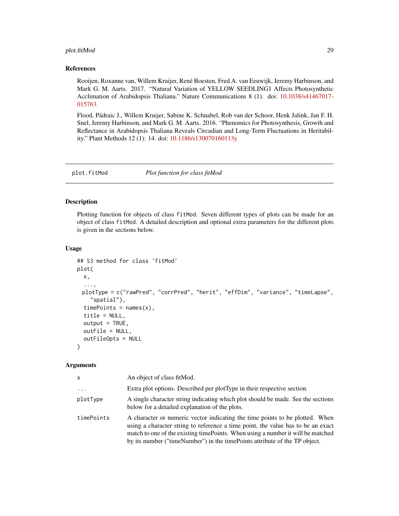## <span id="page-28-0"></span>plot.fitMod 29

#### References

Rooijen, Roxanne van, Willem Kruijer, René Boesten, Fred A. van Eeuwijk, Jeremy Harbinson, and Mark G. M. Aarts. 2017. "Natural Variation of YELLOW SEEDLING1 Affects Photosynthetic Acclimation of Arabidopsis Thaliana." Nature Communications 8 (1). doi: [10.1038/s41467017-](https://doi.org/10.1038/s41467-017-01576-3) [015763](https://doi.org/10.1038/s41467-017-01576-3)

Flood, Pádraic J., Willem Kruijer, Sabine K. Schnabel, Rob van der Schoor, Henk Jalink, Jan F. H. Snel, Jeremy Harbinson, and Mark G. M. Aarts. 2016. "Phenomics for Photosynthesis, Growth and Reflectance in Arabidopsis Thaliana Reveals Circadian and Long-Term Fluctuations in Heritability." Plant Methods 12 (1): 14. doi: [10.1186/s130070160113y](https://doi.org/10.1186/s13007-016-0113-y)

<span id="page-28-1"></span>

plot.fitMod *Plot function for class fitMod*

#### Description

Plotting function for objects of class fitMod. Seven different types of plots can be made for an object of class fitMod. A detailed description and optional extra parameters for the different plots is given in the sections below.

## Usage

```
## S3 method for class 'fitMod'
plot(
  x,
  ...,
 plotType = c("rawPred", "corrPred", "herit", "effDim", "variance", "timeLapse",
    "spatial"),
  timePoints = names(x),
  title = NULL,
  output = TRUE,outFile = NULL,
  outFileOpts = NULL
)
```
## Arguments

| x          | An object of class fit Mod.                                                                                                                                                                                                                                                                                                        |
|------------|------------------------------------------------------------------------------------------------------------------------------------------------------------------------------------------------------------------------------------------------------------------------------------------------------------------------------------|
| $\ddots$   | Extra plot options. Described per plot Type in their respective section.                                                                                                                                                                                                                                                           |
| plotType   | A single character string indicating which plot should be made. See the sections<br>below for a detailed explanation of the plots.                                                                                                                                                                                                 |
| timePoints | A character or numeric vector indicating the time points to be plotted. When<br>using a character string to reference a time point, the value has to be an exact<br>match to one of the existing time Points. When using a number it will be matched<br>by its number ("timeNumber") in the timePoints attribute of the TP object. |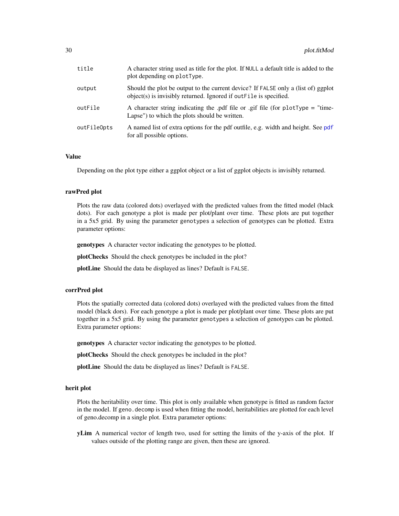<span id="page-29-0"></span>

| title       | A character string used as title for the plot. If NULL a default title is added to the<br>plot depending on plotType.                                   |
|-------------|---------------------------------------------------------------------------------------------------------------------------------------------------------|
| output      | Should the plot be output to the current device? If FALSE only a (list of) ggplot<br>object(s) is invisibly returned. Ignored if out File is specified. |
| outFile     | A character string indicating the pdf file or gif file (for plotType = "time-<br>Lapse") to which the plots should be written.                          |
| outFileOpts | A named list of extra options for the pdf outfile, e.g. width and height. See pdf<br>for all possible options.                                          |

#### Value

Depending on the plot type either a ggplot object or a list of ggplot objects is invisibly returned.

#### rawPred plot

Plots the raw data (colored dots) overlayed with the predicted values from the fitted model (black dots). For each genotype a plot is made per plot/plant over time. These plots are put together in a 5x5 grid. By using the parameter genotypes a selection of genotypes can be plotted. Extra parameter options:

genotypes A character vector indicating the genotypes to be plotted.

plotChecks Should the check genotypes be included in the plot?

plotLine Should the data be displayed as lines? Default is FALSE.

#### corrPred plot

Plots the spatially corrected data (colored dots) overlayed with the predicted values from the fitted model (black dors). For each genotype a plot is made per plot/plant over time. These plots are put together in a 5x5 grid. By using the parameter genotypes a selection of genotypes can be plotted. Extra parameter options:

genotypes A character vector indicating the genotypes to be plotted.

plotChecks Should the check genotypes be included in the plot?

plotLine Should the data be displayed as lines? Default is FALSE.

#### herit plot

Plots the heritability over time. This plot is only available when genotype is fitted as random factor in the model. If geno.decomp is used when fitting the model, heritabilities are plotted for each level of geno.decomp in a single plot. Extra parameter options:

yLim A numerical vector of length two, used for setting the limits of the y-axis of the plot. If values outside of the plotting range are given, then these are ignored.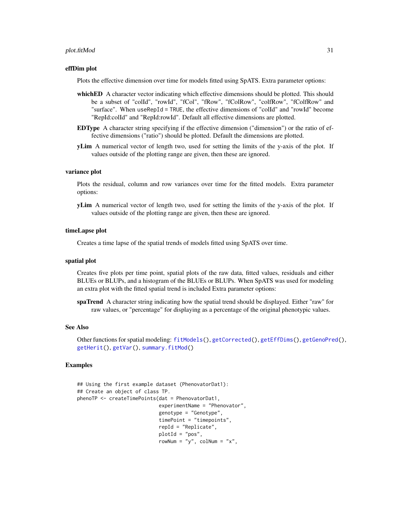#### <span id="page-30-0"></span>plot.fitMod 31

#### effDim plot

Plots the effective dimension over time for models fitted using SpATS. Extra parameter options:

- whichED A character vector indicating which effective dimensions should be plotted. This should be a subset of "colId", "rowId", "fCol", "fRow", "fColRow", "colfRow", "fColfRow" and "surface". When useRepId = TRUE, the effective dimensions of "colId" and "rowId" become "RepId:colId" and "RepId:rowId". Default all effective dimensions are plotted.
- EDType A character string specifying if the effective dimension ("dimension") or the ratio of effective dimensions ("ratio") should be plotted. Default the dimensions are plotted.
- yLim A numerical vector of length two, used for setting the limits of the y-axis of the plot. If values outside of the plotting range are given, then these are ignored.

#### variance plot

Plots the residual, column and row variances over time for the fitted models. Extra parameter options:

yLim A numerical vector of length two, used for setting the limits of the y-axis of the plot. If values outside of the plotting range are given, then these are ignored.

#### timeLapse plot

Creates a time lapse of the spatial trends of models fitted using SpATS over time.

#### spatial plot

Creates five plots per time point, spatial plots of the raw data, fitted values, residuals and either BLUEs or BLUPs, and a histogram of the BLUEs or BLUPs. When SpATS was used for modeling an extra plot with the fitted spatial trend is included Extra parameter options:

spaTrend A character string indicating how the spatial trend should be displayed. Either "raw" for raw values, or "percentage" for displaying as a percentage of the original phenotypic values.

#### See Also

Other functions for spatial modeling: [fitModels\(](#page-13-1)), [getCorrected\(](#page-18-1)), [getEffDims\(](#page-19-1)), [getGenoPred\(](#page-21-1)), [getHerit\(](#page-22-1)), [getVar\(](#page-24-1)), [summary.fitMod\(](#page-46-1))

#### Examples

```
## Using the first example dataset (PhenovatorDat1):
## Create an object of class TP.
phenoTP <- createTimePoints(dat = PhenovatorDat1,
                             experimentName = "Phenovator",
                             genotype = "Genotype",
                             timePoint = "timepoints",
                             repId = "Replicate",
                             plotId = "pos",
                             rowNum = "y", \text{colNum} = "x",
```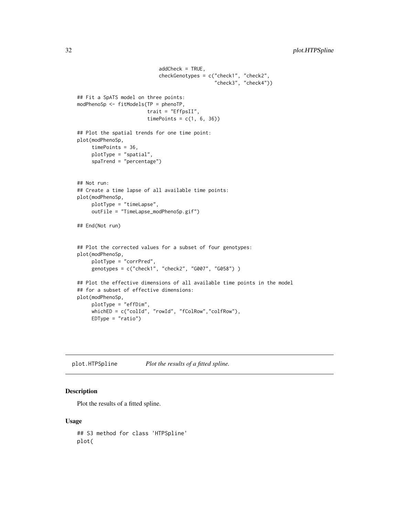```
addCheck = TRUE,
                            checkGenotypes = c("check1", "check2",
                                                "check3", "check4"))
## Fit a SpATS model on three points:
modPhenoSp <- fitModels(TP = phenoTP,
                        trait = "EffpsII",
                        timePoints = c(1, 6, 36))## Plot the spatial trends for one time point:
plot(modPhenoSp,
     timePoints = 36,
     plotType = "spatial",
     spaTrend = "percentage")
## Not run:
## Create a time lapse of all available time points:
plot(modPhenoSp,
     plotType = "timeLapse",
     outFile = "TimeLapse_modPhenoSp.gif")
## End(Not run)
## Plot the corrected values for a subset of four genotypes:
plot(modPhenoSp,
     plotType = "corrPred",
     genotypes = c("check1", "check2", "G007", "G058") )
## Plot the effective dimensions of all available time points in the model
## for a subset of effective dimensions:
plot(modPhenoSp,
     plotType = "effDim",
     whichED = c("colId", "rowId", "fColRow","colfRow"),
     EDType = "ratio")
```
<span id="page-31-1"></span>plot.HTPSpline *Plot the results of a fitted spline.*

## Description

Plot the results of a fitted spline.

#### Usage

## S3 method for class 'HTPSpline' plot(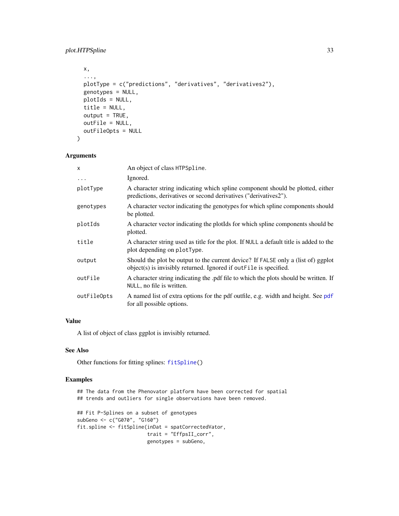```
x,
...,
plotType = c("predictions", "derivatives", "derivatives2"),
genotypes = NULL,
plotIds = NULL,
title = NULL,
output = TRUE,outFile = NULL,
outFileOpts = NULL
```
## Arguments

)

| An object of class HTPSpline.                                                                                                                             |
|-----------------------------------------------------------------------------------------------------------------------------------------------------------|
| Ignored.                                                                                                                                                  |
| A character string indicating which spline component should be plotted, either<br>predictions, derivatives or second derivatives ("derivatives2").        |
| A character vector indicating the genotypes for which spline components should<br>be plotted.                                                             |
| A character vector indicating the plot ds for which spline components should be<br>plotted.                                                               |
| A character string used as title for the plot. If NULL a default title is added to the<br>plot depending on plotType.                                     |
| Should the plot be output to the current device? If FALSE only a (list of) ggplot<br>$object(s)$ is invisibly returned. Ignored if out File is specified. |
| A character string indicating the .pdf file to which the plots should be written. If<br>NULL, no file is written.                                         |
| A named list of extra options for the pdf outfile, e.g. width and height. See pdf<br>for all possible options.                                            |
|                                                                                                                                                           |

## Value

A list of object of class ggplot is invisibly returned.

## See Also

Other functions for fitting splines: [fitSpline\(](#page-16-1))

## Examples

```
## The data from the Phenovator platform have been corrected for spatial
## trends and outliers for single observations have been removed.
## Fit P-Splines on a subset of genotypes
subGeno <- c("G070", "G160")
fit.spline <- fitSpline(inDat = spatCorrectedVator,
                       trait = "EffpsII_corr",
                       genotypes = subGeno,
```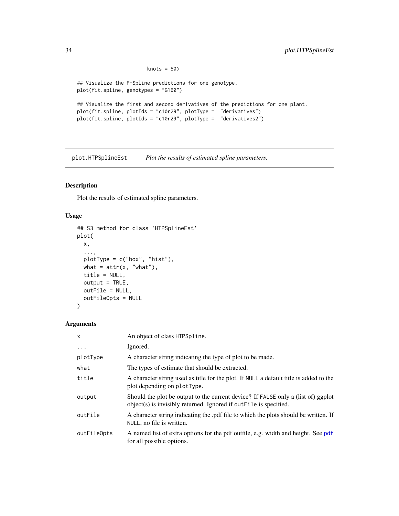```
knots = 50)
## Visualize the P-Spline predictions for one genotype.
plot(fit.spline, genotypes = "G160")
## Visualize the first and second derivatives of the predictions for one plant.
plot(fit.spline, plotIds = "c10r29", plotType = "derivatives")
plot(fit.spline, plotIds = "c10r29", plotType = "derivatives2")
```
<span id="page-33-1"></span>plot.HTPSplineEst *Plot the results of estimated spline parameters.*

#### Description

Plot the results of estimated spline parameters.

## Usage

```
## S3 method for class 'HTPSplineEst'
plot(
 x,
  ...,
 plotType = c("box", "hist"),
 what = attr(x, "what"),
 title = NULL,
 output = TRUE,outFile = NULL,
 outFileOpts = NULL
\lambda
```
## Arguments

| $\boldsymbol{\mathsf{x}}$ | An object of class HTPSpline.                                                                                                                           |
|---------------------------|---------------------------------------------------------------------------------------------------------------------------------------------------------|
| $\ddots$                  | Ignored.                                                                                                                                                |
| plotType                  | A character string indicating the type of plot to be made.                                                                                              |
| what                      | The types of estimate that should be extracted.                                                                                                         |
| title                     | A character string used as title for the plot. If NULL a default title is added to the<br>plot depending on plotType.                                   |
| output                    | Should the plot be output to the current device? If FALSE only a (list of) ggplot<br>object(s) is invisibly returned. Ignored if out File is specified. |
| outFile                   | A character string indicating the .pdf file to which the plots should be written. If<br>NULL, no file is written.                                       |
| outFileOpts               | A named list of extra options for the pdf outfile, e.g. width and height. See pdf<br>for all possible options.                                          |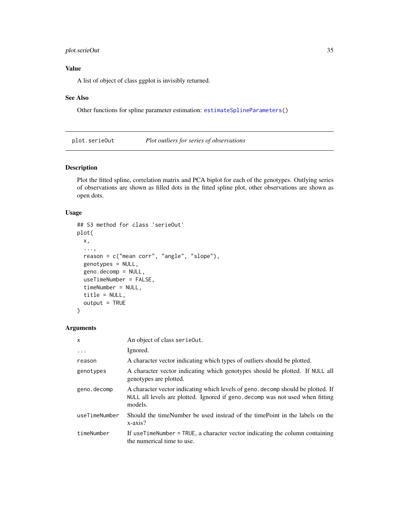## <span id="page-34-0"></span>plot.serieOut 35

## Value

A list of object of class ggplot is invisibly returned.

#### See Also

Other functions for spline parameter estimation: [estimateSplineParameters\(](#page-12-1))

<span id="page-34-1"></span>plot.serieOut *Plot outliers for series of observations*

## Description

Plot the fitted spline, correlation matrix and PCA biplot for each of the genotypes. Outlying series of observations are shown as filled dots in the fitted spline plot, other observations are shown as open dots.

## Usage

```
## S3 method for class 'serieOut'
plot(
 x,
  ...,
  reason = c("mean corr", "angle", "slope"),
 genotypes = NULL,
  geno.decomp = NULL,
  useTimeNumber = FALSE,
  timeNumber = NULL,
  title = NULL,
  output = TRUE)
```
#### Arguments

| $\mathsf{x}$  | An object of class serie0ut.                                                                                                                                                  |
|---------------|-------------------------------------------------------------------------------------------------------------------------------------------------------------------------------|
| $\cdot$       | Ignored.                                                                                                                                                                      |
| reason        | A character vector indicating which types of outliers should be plotted.                                                                                                      |
| genotypes     | A character vector indicating which genotypes should be plotted. If NULL all<br>genotypes are plotted.                                                                        |
| geno.decomp   | A character vector indicating which levels of geno. decomp should be plotted. If<br>NULL all levels are plotted. Ignored if geno. decomp was not used when fitting<br>models. |
| useTimeNumber | Should the timeNumber be used instead of the timePoint in the labels on the<br>x-axis?                                                                                        |
| timeNumber    | If useTimeNumber = TRUE, a character vector indicating the column containing<br>the numerical time to use.                                                                    |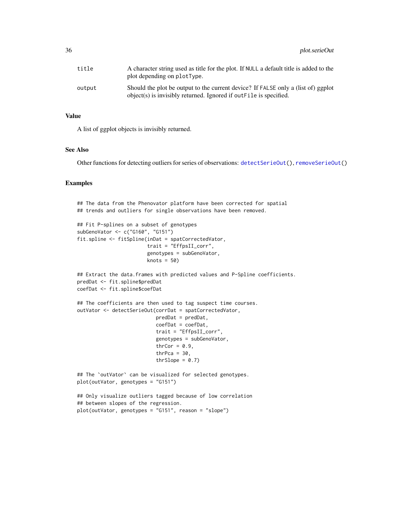<span id="page-35-0"></span>

| title  | A character string used as title for the plot. If NULL a default title is added to the<br>plot depending on plotType.                                   |
|--------|---------------------------------------------------------------------------------------------------------------------------------------------------------|
| output | Should the plot be output to the current device? If FALSE only a (list of) ggplot<br>object(s) is invisibly returned. Ignored if out File is specified. |

#### Value

A list of ggplot objects is invisibly returned.

## See Also

Other functions for detecting outliers for series of observations: [detectSerieOut\(](#page-7-1)), [removeSerieOut\(](#page-40-1))

## Examples

```
## The data from the Phenovator platform have been corrected for spatial
## trends and outliers for single observations have been removed.
## Fit P-splines on a subset of genotypes
subGenoVator <- c("G160", "G151")
fit.spline <- fitSpline(inDat = spatCorrectedVator,
                        trait = "EffpsII_corr",
                        genotypes = subGenoVator,
                        knots = 50)
## Extract the data.frames with predicted values and P-Spline coefficients.
predDat <- fit.spline$predDat
coefDat <- fit.spline$coefDat
## The coefficients are then used to tag suspect time courses.
outVator <- detectSerieOut(corrDat = spatCorrectedVator,
                           predDat = predDat,
                           coefDat = coefDat,
                           trait = "EffpsII_corr",
                           genotypes = subGenoVator,
                           thrCor = 0.9,
                           thrPca = 30,
                           thrSlope = 0.7)
## The `outVator` can be visualized for selected genotypes.
plot(outVator, genotypes = "G151")
## Only visualize outliers tagged because of low correlation
## between slopes of the regression.
plot(outVator, genotypes = "G151", reason = "slope")
```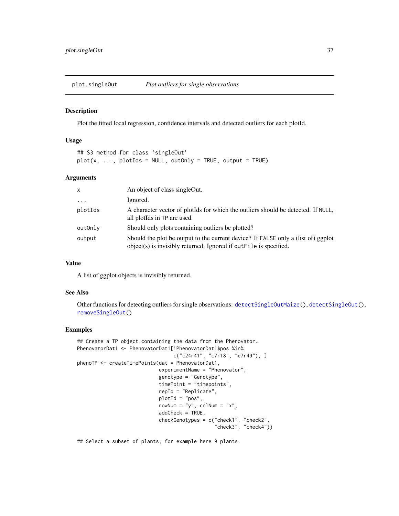<span id="page-36-1"></span><span id="page-36-0"></span>

#### Description

Plot the fitted local regression, confidence intervals and detected outliers for each plotId.

#### Usage

## S3 method for class 'singleOut'  $plot(x, ..., plotIds = NULL, outOnly = TRUE, output = TRUE)$ 

## Arguments

| X                       | An object of class singleOut.                                                                                                                               |
|-------------------------|-------------------------------------------------------------------------------------------------------------------------------------------------------------|
| $\cdot$ $\cdot$ $\cdot$ | Ignored.                                                                                                                                                    |
| plotIds                 | A character vector of plotIds for which the outliers should be detected. If NULL,<br>all plot ds in TP are used.                                            |
| outOnly                 | Should only plots containing outliers be plotted?                                                                                                           |
| output                  | Should the plot be output to the current device? If FALSE only a (list of) ggplot<br>$object(s)$ is invisibly returned. Ignored if out $File$ is specified. |

#### Value

A list of ggplot objects is invisibly returned.

#### See Also

Other functions for detecting outliers for single observations: [detectSingleOutMaize\(](#page-10-1)), [detectSingleOut\(](#page-8-1)), [removeSingleOut\(](#page-41-1))

#### Examples

```
## Create a TP object containing the data from the Phenovator.
PhenovatorDat1 <- PhenovatorDat1[!PhenovatorDat1$pos %in%
                                  c("c24r41", "c7r18", "c7r49"), ]
phenoTP <- createTimePoints(dat = PhenovatorDat1,
                            experimentName = "Phenovator",
                             genotype = "Genotype",
                             timePoint = "timepoints",
                             repId = "Replicate",
                             plotId = "pos",
                             rowNum = "y", \text{colNum} = "x",addCheck = TRUE,
                             checkGenotypes = c("check1", "check2",
                                                "check3", "check4"))
```
## Select a subset of plants, for example here 9 plants.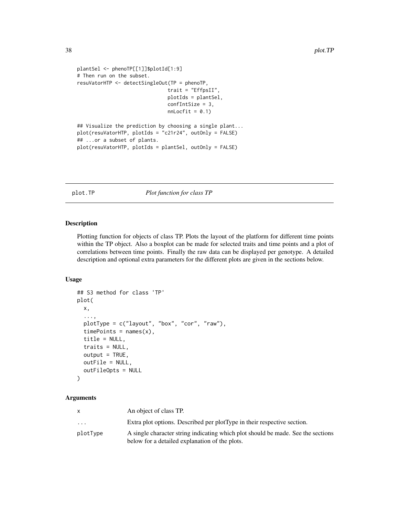```
plantSel <- phenoTP[[1]]$plotId[1:9]
# Then run on the subset.
resuVatorHTP <- detectSingleOut(TP = phenoTP,
                               trait = "EffpsII",
                               plotIds = plantSel,
                               confIntSize = 3,
                               nnLocfit = 0.1)## Visualize the prediction by choosing a single plant...
plot(resuVatorHTP, plotIds = "c21r24", outOnly = FALSE)
## ...or a subset of plants.
plot(resuVatorHTP, plotIds = plantSel, outOnly = FALSE)
```
<span id="page-37-1"></span>plot.TP *Plot function for class TP*

#### Description

Plotting function for objects of class TP. Plots the layout of the platform for different time points within the TP object. Also a boxplot can be made for selected traits and time points and a plot of correlations between time points. Finally the raw data can be displayed per genotype. A detailed description and optional extra parameters for the different plots are given in the sections below.

## Usage

```
## S3 method for class 'TP'
plot(
 x,
  ...,
 plotType = c("layout", "box", "cor", "raw"),
  timePoints = names(x),
  title = NULL,
  traits = NULL,
  output = TRUE,
  outFile = NULL,
  outFileOpts = NULL
)
```
## Arguments

|           | An object of class TP.                                                           |
|-----------|----------------------------------------------------------------------------------|
| $\ddotsc$ | Extra plot options. Described per plot Type in their respective section.         |
| plotType  | A single character string indicating which plot should be made. See the sections |
|           | below for a detailed explanation of the plots.                                   |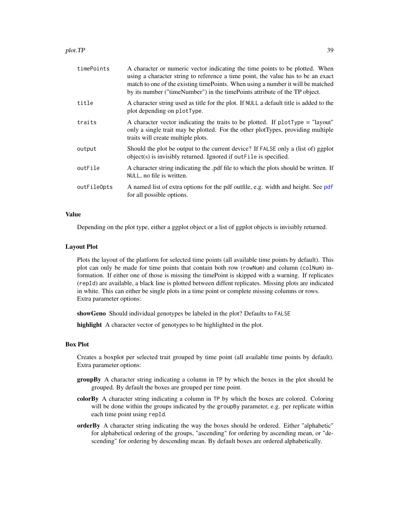<span id="page-38-0"></span>

| timePoints  | A character or numeric vector indicating the time points to be plotted. When<br>using a character string to reference a time point, the value has to be an exact<br>match to one of the existing time Points. When using a number it will be matched<br>by its number ("timeNumber") in the timePoints attribute of the TP object. |
|-------------|------------------------------------------------------------------------------------------------------------------------------------------------------------------------------------------------------------------------------------------------------------------------------------------------------------------------------------|
| title       | A character string used as title for the plot. If NULL a default title is added to the<br>plot depending on plotType.                                                                                                                                                                                                              |
| traits      | A character vector indicating the traits to be plotted. If $plotType = "layout"$<br>only a single trait may be plotted. For the other plotTypes, providing multiple<br>traits will create multiple plots.                                                                                                                          |
| output      | Should the plot be output to the current device? If FALSE only a (list of) ggplot<br>object(s) is invisibly returned. Ignored if out File is specified.                                                                                                                                                                            |
| outFile     | A character string indicating the .pdf file to which the plots should be written. If<br>NULL, no file is written.                                                                                                                                                                                                                  |
| outFileOpts | A named list of extra options for the pdf outfile, e.g. width and height. See pdf<br>for all possible options.                                                                                                                                                                                                                     |

## Value

Depending on the plot type, either a ggplot object or a list of ggplot objects is invisibly returned.

#### Layout Plot

Plots the layout of the platform for selected time points (all available time points by default). This plot can only be made for time points that contain both row (rowNum) and column (colNum) information. If either one of those is missing the timePoint is skipped with a warning. If replicates (repId) are available, a black line is plotted between diffent replicates. Missing plots are indicated in white. This can either be single plots in a time point or complete missing columns or rows. Extra parameter options:

showGeno Should individual genotypes be labeled in the plot? Defaults to FALSE

highlight A character vector of genotypes to be highlighted in the plot.

## Box Plot

Creates a boxplot per selected trait grouped by time point (all available time points by default). Extra parameter options:

- groupBy A character string indicating a column in TP by which the boxes in the plot should be grouped. By default the boxes are grouped per time point.
- colorBy A character string indicating a column in TP by which the boxes are colored. Coloring will be done within the groups indicated by the groupBy parameter, e.g. per replicate within each time point using repId.
- orderBy A character string indicating the way the boxes should be ordered. Either "alphabetic" for alphabetical ordering of the groups, "ascending" for ordering by ascending mean, or "descending" for ordering by descending mean. By default boxes are ordered alphabetically.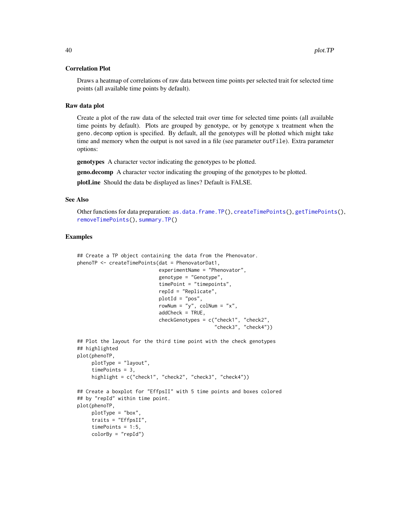#### <span id="page-39-0"></span>Correlation Plot

Draws a heatmap of correlations of raw data between time points per selected trait for selected time points (all available time points by default).

## Raw data plot

Create a plot of the raw data of the selected trait over time for selected time points (all available time points by default). Plots are grouped by genotype, or by genotype x treatment when the geno.decomp option is specified. By default, all the genotypes will be plotted which might take time and memory when the output is not saved in a file (see parameter outFile). Extra parameter options:

genotypes A character vector indicating the genotypes to be plotted.

geno.decomp A character vector indicating the grouping of the genotypes to be plotted.

plotLine Should the data be displayed as lines? Default is FALSE.

#### See Also

Other functions for data preparation: [as.data.frame.TP\(](#page-2-1)), [createTimePoints\(](#page-4-1)), [getTimePoints\(](#page-23-1)), [removeTimePoints\(](#page-43-1)), [summary.TP\(](#page-47-1))

#### Examples

```
## Create a TP object containing the data from the Phenovator.
phenoTP <- createTimePoints(dat = PhenovatorDat1,
                            experimentName = "Phenovator",
                            genotype = "Genotype",
                            timePoint = "timepoints",
                            repId = "Replicate",
                            plotId = "pos",
                            rowNum = "y", colNum = "x",
                            addCheck = TRUE,
                            checkGenotypes = c("check1", "check2",
                                                "check3", "check4"))
## Plot the layout for the third time point with the check genotypes
## highlighted
plot(phenoTP,
    plotType = "layout",
     timePoints = 3,
    highlight = c("check1", "check2", "check3", "check4"))
## Create a boxplot for "EffpsII" with 5 time points and boxes colored
## by "repId" within time point.
plot(phenoTP,
    plotType = "box",
     traits = "EffpsII",
    timePoints = 1:5,
    colorBy = "repId")
```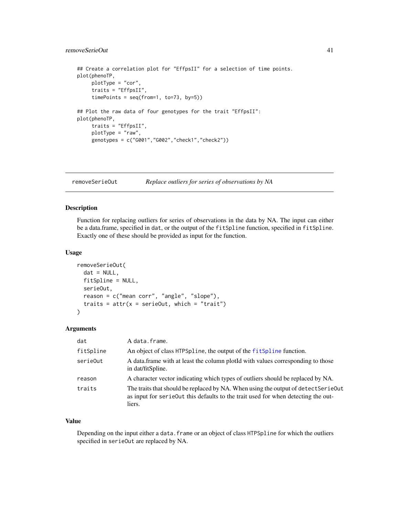## <span id="page-40-0"></span>removeSerieOut 41

```
## Create a correlation plot for "EffpsII" for a selection of time points.
plot(phenoTP,
    plotType = "cor",
     traits = "EffpsII",
    timePoints = seq(from=1, to=73, by=5))
## Plot the raw data of four genotypes for the trait "EffpsII":
plot(phenoTP,
    traits = "EffpsII",
    plotType = "raw",
    genotypes = c("G001","G002","check1","check2"))
```
<span id="page-40-1"></span>removeSerieOut *Replace outliers for series of observations by NA*

## Description

Function for replacing outliers for series of observations in the data by NA. The input can either be a data.frame, specified in dat, or the output of the fitSpline function, specified in fitSpline. Exactly one of these should be provided as input for the function.

#### Usage

```
removeSerieOut(
  dat = NULL,fitSpline = NULL,
  serieOut,
  reason = c("mean corr", "angle", "slope"),
  traits = attr(x = serieOut, which = "trait")\mathcal{L}
```
## Arguments

| dat       | A data.frame.                                                                                                                                                                    |
|-----------|----------------------------------------------------------------------------------------------------------------------------------------------------------------------------------|
| fitSpline | An object of class HTPSpline, the output of the fitSpline function.                                                                                                              |
| serieOut  | A data frame with at least the column ploted with values corresponding to those<br>in dat/fitSpline.                                                                             |
| reason    | A character vector indicating which types of outliers should be replaced by NA.                                                                                                  |
| traits    | The traits that should be replaced by NA. When using the output of detectSerieOut<br>as input for serieout this defaults to the trait used for when detecting the out-<br>liers. |

#### Value

Depending on the input either a data. frame or an object of class HTPSpline for which the outliers specified in serieOut are replaced by NA.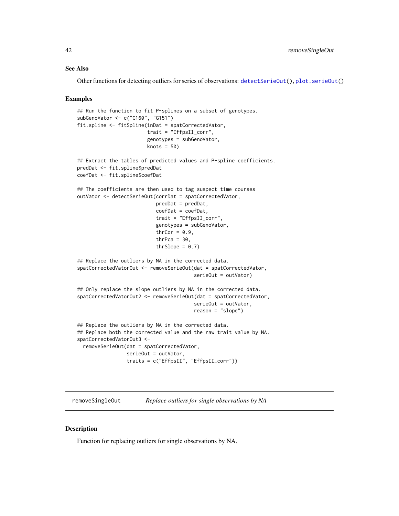#### <span id="page-41-0"></span>See Also

Other functions for detecting outliers for series of observations: [detectSerieOut\(](#page-7-1)), [plot.serieOut\(](#page-34-1))

#### Examples

```
## Run the function to fit P-splines on a subset of genotypes.
subGenoVator <- c("G160", "G151")
fit.spline <- fitSpline(inDat = spatCorrectedVator,
                        trait = "EffpsII_corr",
                        genotypes = subGenoVator,
                        knots = 50)
## Extract the tables of predicted values and P-spline coefficients.
predDat <- fit.spline$predDat
coefDat <- fit.spline$coefDat
## The coefficients are then used to tag suspect time courses
outVator <- detectSerieOut(corrDat = spatCorrectedVator,
                           predDat = predDat,
                           coefDat = coefDat,
                           trait = "EffpsII_corr",
                           genotypes = subGenoVator,
                           thrCor = 0.9,
                           thrPca = 30,
                           thrSlope = 0.7)
## Replace the outliers by NA in the corrected data.
spatCorrectedVatorOut <- removeSerieOut(dat = spatCorrectedVator,
                                        serieOut = outVator)
## Only replace the slope outliers by NA in the corrected data.
spatCorrectedVatorOut2 <- removeSerieOut(dat = spatCorrectedVator,
                                        serieOut = outVator,
                                        reason = "slope")
## Replace the outliers by NA in the corrected data.
## Replace both the corrected value and the raw trait value by NA.
spatCorrectedVatorOut3 <-
 removeSerieOut(dat = spatCorrectedVator,
                 serieOut = outVator,
                 traits = c("EffpsII", "EffpsII_corr"))
```
#### <span id="page-41-1"></span>removeSingleOut *Replace outliers for single observations by NA*

#### Description

Function for replacing outliers for single observations by NA.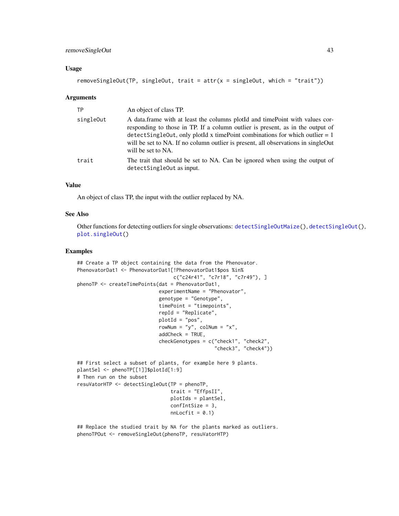## <span id="page-42-0"></span>removeSingleOut 43

#### Usage

```
removeSingleOut(TP, singleOut, trait = attr(x = singleOut, which = "trait"))
```
#### **Arguments**

| <b>TP</b> | An object of class TP.                                                                                                                                                                                                                                                                                                                                      |
|-----------|-------------------------------------------------------------------------------------------------------------------------------------------------------------------------------------------------------------------------------------------------------------------------------------------------------------------------------------------------------------|
| singleOut | A data frame with at least the columns plot d and time Point with values cor-<br>responding to those in TP. If a column outlier is present, as in the output of<br>detectSingleOut, only plotId x timePoint combinations for which outlier $= 1$<br>will be set to NA. If no column outlier is present, all observations in singleOut<br>will be set to NA. |
| trait     | The trait that should be set to NA. Can be ignored when using the output of<br>detectSingleOut as input.                                                                                                                                                                                                                                                    |

## Value

An object of class TP, the input with the outlier replaced by NA.

#### See Also

Other functions for detecting outliers for single observations: [detectSingleOutMaize\(](#page-10-1)), [detectSingleOut\(](#page-8-1)), [plot.singleOut\(](#page-36-1))

#### Examples

```
## Create a TP object containing the data from the Phenovator.
PhenovatorDat1 <- PhenovatorDat1[!PhenovatorDat1$pos %in%
                                 c("c24r41", "c7r18", "c7r49"), ]
phenoTP <- createTimePoints(dat = PhenovatorDat1,
                            experimentName = "Phenovator",
                            genotype = "Genotype",
                            timePoint = "timepoints",
                            repId = "Replicate",
                            plotId = "pos",
                            rowNum = "y", colNum = "x",
                            addCheck = TRUE,
                            checkGenotypes = c("check1", "check2",
                                               "check3", "check4"))
## First select a subset of plants, for example here 9 plants.
plantSel <- phenoTP[[1]]$plotId[1:9]
# Then run on the subset
resuVatorHTP <- detectSingleOut(TP = phenoTP,
                                trait = "EffpsII",
                                plotIds = plantSel,
                                confIntSize = 3,
                                nnLocfit = 0.1)
```
## Replace the studied trait by NA for the plants marked as outliers. phenoTPOut <- removeSingleOut(phenoTP, resuVatorHTP)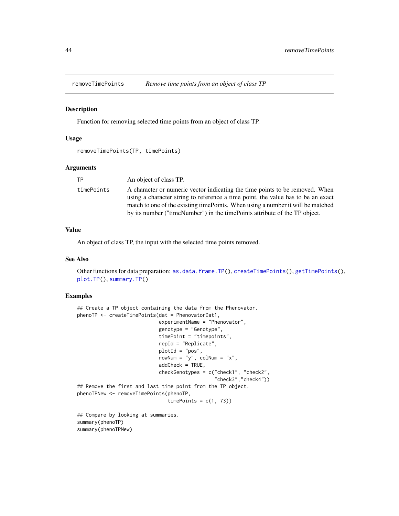<span id="page-43-1"></span><span id="page-43-0"></span>

#### Description

Function for removing selected time points from an object of class TP.

#### Usage

```
removeTimePoints(TP, timePoints)
```
#### Arguments

| ТP         | An object of class TP.                                                           |
|------------|----------------------------------------------------------------------------------|
| timePoints | A character or numeric vector indicating the time points to be removed. When     |
|            | using a character string to reference a time point, the value has to be an exact |
|            | match to one of the existing time Points. When using a number it will be matched |
|            | by its number ("timeNumber") in the timePoints attribute of the TP object.       |

## Value

An object of class TP, the input with the selected time points removed.

#### See Also

Other functions for data preparation: [as.data.frame.TP\(](#page-2-1)), [createTimePoints\(](#page-4-1)), [getTimePoints\(](#page-23-1)), [plot.TP\(](#page-37-1)), [summary.TP\(](#page-47-1))

#### Examples

```
## Create a TP object containing the data from the Phenovator.
phenoTP <- createTimePoints(dat = PhenovatorDat1,
                            experimentName = "Phenovator",
                            genotype = "Genotype",
                            timePoint = "timepoints",
                            repId = "Replicate",
                            plotId = "pos",
                            rowNum = "y", colNum = "x",
                            addCheck = TRUE,
                            checkGenotypes = c("check1", "check2",
                                               "check3","check4"))
## Remove the first and last time point from the TP object.
phenoTPNew <- removeTimePoints(phenoTP,
                               timePoints = c(1, 73)
```
## Compare by looking at summaries. summary(phenoTP) summary(phenoTPNew)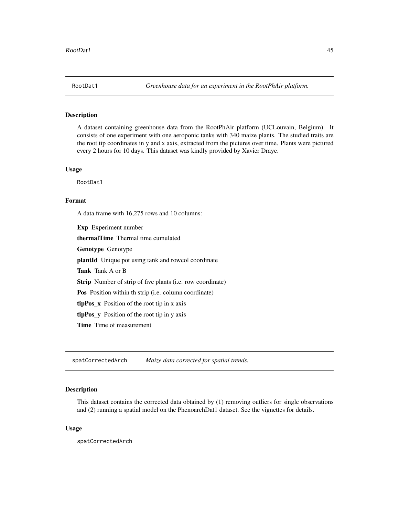<span id="page-44-0"></span>

## Description

A dataset containing greenhouse data from the RootPhAir platform (UCLouvain, Belgium). It consists of one experiment with one aeroponic tanks with 340 maize plants. The studied traits are the root tip coordinates in y and x axis, extracted from the pictures over time. Plants were pictured every 2 hours for 10 days. This dataset was kindly provided by Xavier Draye.

#### Usage

RootDat1

## Format

A data.frame with 16,275 rows and 10 columns:

Exp Experiment number thermalTime Thermal time cumulated Genotype Genotype plantId Unique pot using tank and rowcol coordinate Tank Tank A or B Strip Number of strip of five plants (i.e. row coordinate) Pos Position within th strip (i.e. column coordinate) tipPos\_x Position of the root tip in x axis tipPos\_y Position of the root tip in y axis Time Time of measurement

spatCorrectedArch *Maize data corrected for spatial trends.*

#### Description

This dataset contains the corrected data obtained by (1) removing outliers for single observations and (2) running a spatial model on the PhenoarchDat1 dataset. See the vignettes for details.

#### Usage

spatCorrectedArch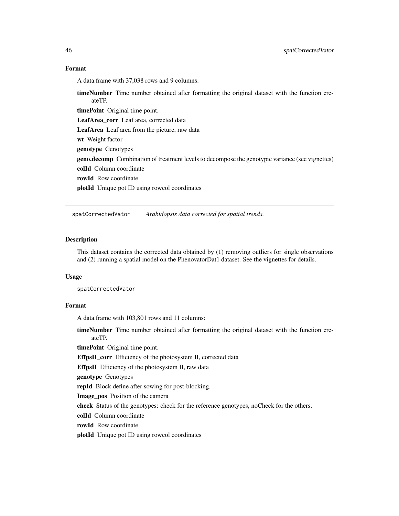## <span id="page-45-0"></span>Format

A data.frame with 37,038 rows and 9 columns:

timeNumber Time number obtained after formatting the original dataset with the function createTP.

timePoint Original time point.

LeafArea\_corr Leaf area, corrected data

LeafArea Leaf area from the picture, raw data

wt Weight factor

genotype Genotypes

**geno.decomp** Combination of treatment levels to decompose the genotypic variance (see vignettes) colId Column coordinate

rowId Row coordinate

plotId Unique pot ID using rowcol coordinates

spatCorrectedVator *Arabidopsis data corrected for spatial trends.*

## Description

This dataset contains the corrected data obtained by (1) removing outliers for single observations and (2) running a spatial model on the PhenovatorDat1 dataset. See the vignettes for details.

#### Usage

spatCorrectedVator

## Format

A data.frame with 103,801 rows and 11 columns:

timeNumber Time number obtained after formatting the original dataset with the function createTP.

timePoint Original time point.

EffpsII\_corr Efficiency of the photosystem II, corrected data

EffpsII Efficiency of the photosystem II, raw data

genotype Genotypes

repId Block define after sowing for post-blocking.

Image\_pos Position of the camera

check Status of the genotypes: check for the reference genotypes, noCheck for the others.

colId Column coordinate

rowId Row coordinate

plotId Unique pot ID using rowcol coordinates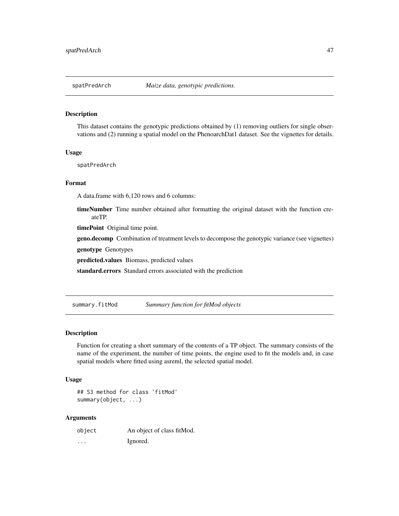<span id="page-46-0"></span>

## Description

This dataset contains the genotypic predictions obtained by (1) removing outliers for single observations and (2) running a spatial model on the PhenoarchDat1 dataset. See the vignettes for details.

#### Usage

spatPredArch

## Format

A data.frame with 6,120 rows and 6 columns:

timeNumber Time number obtained after formatting the original dataset with the function createTP.

timePoint Original time point.

geno.decomp Combination of treatment levels to decompose the genotypic variance (see vignettes)

genotype Genotypes

predicted.values Biomass, predicted values

standard.errors Standard errors associated with the prediction

<span id="page-46-1"></span>summary.fitMod *Summary function for fitMod objects*

## **Description**

Function for creating a short summary of the contents of a TP object. The summary consists of the name of the experiment, the number of time points, the engine used to fit the models and, in case spatial models where fitted using asreml, the selected spatial model.

#### Usage

```
## S3 method for class 'fitMod'
summary(object, ...)
```
#### Arguments

| object   | An object of class fitMod. |
|----------|----------------------------|
| $\cdots$ | Ignored.                   |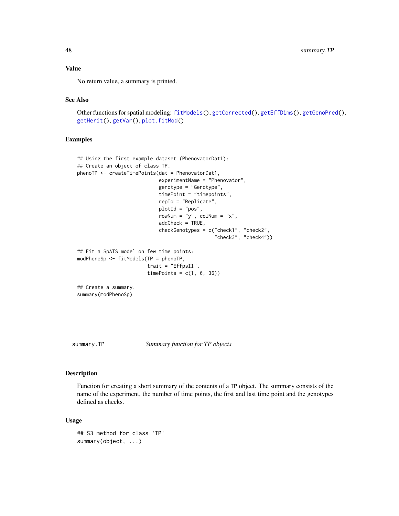## Value

No return value, a summary is printed.

## See Also

```
Other functions for spatial modeling: fitModels(), getCorrected(), getEffDims(), getGenoPred(),
getHerit(), getVar(), plot.fitMod()
```
#### Examples

```
## Using the first example dataset (PhenovatorDat1):
## Create an object of class TP.
phenoTP <- createTimePoints(dat = PhenovatorDat1,
                            experimentName = "Phenovator",
                            genotype = "Genotype",
                            timePoint = "timepoints",
                            repId = "Replicate",
                            plotId = "pos",
                            rowNum = "y", colNum = "x",
                            addCheck = TRUE,
                            checkGenotypes = c("check1", "check2",
                                                "check3", "check4"))
## Fit a SpATS model on few time points:
modPhenoSp <- fitModels(TP = phenoTP,
                        trait = "EffpsII",
                        timePoints = c(1, 6, 36)## Create a summary.
summary(modPhenoSp)
```

```
summary.TP Summary function for TP objects
```
## Description

Function for creating a short summary of the contents of a TP object. The summary consists of the name of the experiment, the number of time points, the first and last time point and the genotypes defined as checks.

#### Usage

```
## S3 method for class 'TP'
summary(object, ...)
```
<span id="page-47-0"></span>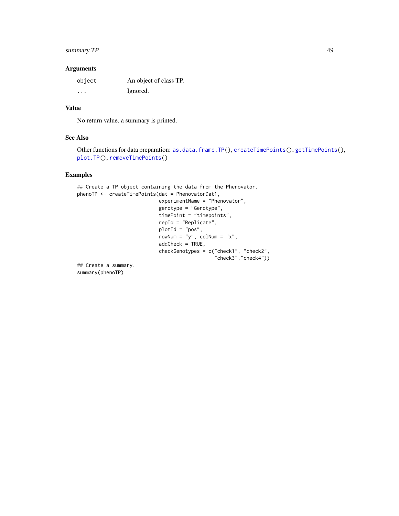## <span id="page-48-0"></span>summary. TP 49

#### Arguments

| object  | An object of class TP. |
|---------|------------------------|
| $\cdot$ | Ignored.               |

## Value

No return value, a summary is printed.

#### See Also

```
Other functions for data preparation: as.data.frame.TP(), createTimePoints(), getTimePoints(),
plot.TP(), removeTimePoints()
```
## Examples

```
## Create a TP object containing the data from the Phenovator.
phenoTP <- createTimePoints(dat = PhenovatorDat1,
                            experimentName = "Phenovator",
                            genotype = "Genotype",
                            timePoint = "timepoints",
                            repId = "Replicate",
                            plotId = "pos",
                            rowNum = "y", colNum = "x",
                            addCheck = TRUE,
                            checkGenotypes = c("check1", "check2",
                                                "check3","check4"))
```
## Create a summary. summary(phenoTP)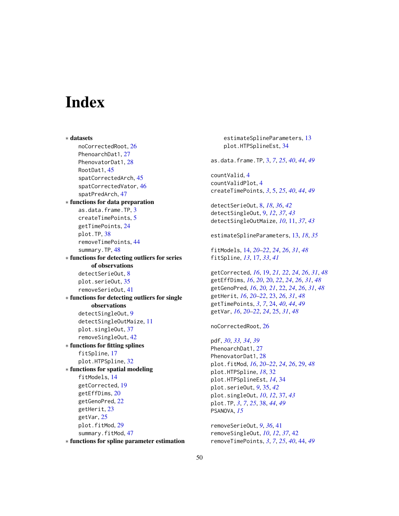# <span id="page-49-0"></span>**Index**

∗ datasets noCorrectedRoot, [26](#page-25-0) PhenoarchDat1, [27](#page-26-0) PhenovatorDat1, [28](#page-27-0) RootDat1, [45](#page-44-0) spatCorrectedArch, [45](#page-44-0) spatCorrectedVator, [46](#page-45-0) spatPredArch, [47](#page-46-0) ∗ functions for data preparation as.data.frame.TP, [3](#page-2-0) createTimePoints, [5](#page-4-0) getTimePoints, [24](#page-23-0) plot.TP, [38](#page-37-0) removeTimePoints, [44](#page-43-0) summary.TP, [48](#page-47-0) ∗ functions for detecting outliers for series of observations detectSerieOut, [8](#page-7-0) plot.serieOut, [35](#page-34-0) removeSerieOut, [41](#page-40-0) ∗ functions for detecting outliers for single observations detectSingleOut, [9](#page-8-0) detectSingleOutMaize, [11](#page-10-0) plot.singleOut, [37](#page-36-0) removeSingleOut, [42](#page-41-0) ∗ functions for fitting splines fitSpline, [17](#page-16-0) plot.HTPSpline, [32](#page-31-0) ∗ functions for spatial modeling fitModels, [14](#page-13-0) getCorrected, [19](#page-18-0) getEffDims, [20](#page-19-0) getGenoPred, [22](#page-21-0) getHerit, [23](#page-22-0) getVar, [25](#page-24-0) plot.fitMod, [29](#page-28-0) summary.fitMod, [47](#page-46-0)

∗ functions for spline parameter estimation

estimateSplineParameters, [13](#page-12-0) plot.HTPSplineEst, [34](#page-33-0) as.data.frame.TP, [3,](#page-2-0) *[7](#page-6-0)*, *[25](#page-24-0)*, *[40](#page-39-0)*, *[44](#page-43-0)*, *[49](#page-48-0)* countValid, [4](#page-3-0) countValidPlot, [4](#page-3-0) createTimePoints, *[3](#page-2-0)*, [5,](#page-4-0) *[25](#page-24-0)*, *[40](#page-39-0)*, *[44](#page-43-0)*, *[49](#page-48-0)* detectSerieOut, [8,](#page-7-0) *[18](#page-17-0)*, *[36](#page-35-0)*, *[42](#page-41-0)* detectSingleOut, [9,](#page-8-0) *[12](#page-11-0)*, *[37](#page-36-0)*, *[43](#page-42-0)* detectSingleOutMaize, *[10](#page-9-0)*, [11,](#page-10-0) *[37](#page-36-0)*, *[43](#page-42-0)* estimateSplineParameters, [13,](#page-12-0) *[18](#page-17-0)*, *[35](#page-34-0)* fitModels, [14,](#page-13-0) *[20](#page-19-0)[–22](#page-21-0)*, *[24](#page-23-0)*, *[26](#page-25-0)*, *[31](#page-30-0)*, *[48](#page-47-0)* fitSpline, *[13](#page-12-0)*, [17,](#page-16-0) *[33](#page-32-0)*, *[41](#page-40-0)* getCorrected, *[16](#page-15-0)*, [19,](#page-18-0) *[21,](#page-20-0) [22](#page-21-0)*, *[24](#page-23-0)*, *[26](#page-25-0)*, *[31](#page-30-0)*, *[48](#page-47-0)* getEffDims, *[16](#page-15-0)*, *[20](#page-19-0)*, [20,](#page-19-0) *[22](#page-21-0)*, *[24](#page-23-0)*, *[26](#page-25-0)*, *[31](#page-30-0)*, *[48](#page-47-0)* getGenoPred, *[16](#page-15-0)*, *[20,](#page-19-0) [21](#page-20-0)*, [22,](#page-21-0) *[24](#page-23-0)*, *[26](#page-25-0)*, *[31](#page-30-0)*, *[48](#page-47-0)* getHerit, *[16](#page-15-0)*, *[20](#page-19-0)[–22](#page-21-0)*, [23,](#page-22-0) *[26](#page-25-0)*, *[31](#page-30-0)*, *[48](#page-47-0)* getTimePoints, *[3](#page-2-0)*, *[7](#page-6-0)*, [24,](#page-23-0) *[40](#page-39-0)*, *[44](#page-43-0)*, *[49](#page-48-0)* getVar, *[16](#page-15-0)*, *[20](#page-19-0)[–22](#page-21-0)*, *[24](#page-23-0)*, [25,](#page-24-0) *[31](#page-30-0)*, *[48](#page-47-0)* noCorrectedRoot, [26](#page-25-0) pdf, *[30](#page-29-0)*, *[33,](#page-32-0) [34](#page-33-0)*, *[39](#page-38-0)* PhenoarchDat1, [27](#page-26-0) PhenovatorDat1, [28](#page-27-0) plot.fitMod, *[16](#page-15-0)*, *[20](#page-19-0)[–22](#page-21-0)*, *[24](#page-23-0)*, *[26](#page-25-0)*, [29,](#page-28-0) *[48](#page-47-0)* plot.HTPSpline, *[18](#page-17-0)*, [32](#page-31-0) plot.HTPSplineEst, *[14](#page-13-0)*, [34](#page-33-0) plot.serieOut, *[9](#page-8-0)*, [35,](#page-34-0) *[42](#page-41-0)* plot.singleOut, *[10](#page-9-0)*, *[12](#page-11-0)*, [37,](#page-36-0) *[43](#page-42-0)* plot.TP, *[3](#page-2-0)*, *[7](#page-6-0)*, *[25](#page-24-0)*, [38,](#page-37-0) *[44](#page-43-0)*, *[49](#page-48-0)* PSANOVA, *[15](#page-14-0)* removeSerieOut, *[9](#page-8-0)*, *[36](#page-35-0)*, [41](#page-40-0)

removeSingleOut, *[10](#page-9-0)*, *[12](#page-11-0)*, *[37](#page-36-0)*, [42](#page-41-0) removeTimePoints, *[3](#page-2-0)*, *[7](#page-6-0)*, *[25](#page-24-0)*, *[40](#page-39-0)*, [44,](#page-43-0) *[49](#page-48-0)*